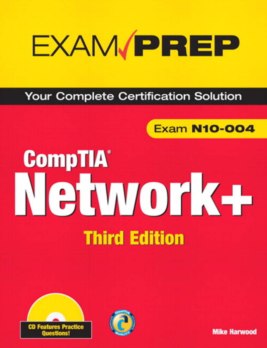# **EXAM/PREP**

Your Complete Certification Solution

**Exam N10-004** 

# **CompTIA®** Network+ **Third Edition**





**Mike Harwood**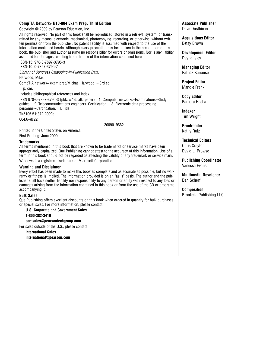#### **CompTIA Network+ N10-004 Exam Prep, Third Edition**

Copyright © 2009 by Pearson Education, Inc.

All rights reserved. No part of this book shall be reproduced, stored in a retrieval system, or transmitted by any means, electronic, mechanical, photocopying, recording, or otherwise, without written permission from the publisher. No patent liability is assumed with respect to the use of the information contained herein. Although every precaution has been taken in the preparation of this book, the publisher and author assume no responsibility for errors or omissions. Nor is any liability assumed for damages resulting from the use of the information contained herein.

ISBN-13: 978-0-7897-3795-3 ISBN-10: 0-7897-3795-7

Library of Congress Cataloging-in-Publication Data:

Harwood, Mike.

CompTIA network+ exam prep/Michael Harwood. – 3rd ed.

p. cm.

Includes bibliographical references and index.

ISBN 978-0-7897-3795-3 (pbk. w/cd: alk. paper) 1. Computer networks–Examinations–Study guides. 2. Telecommunications engineers–Certification. 3. Electronic data processing personnel–Certification. I. Title.

TK5105.5.H372 2009b

004.6–dc22

2009019662

Printed in the United States on America First Printing: June 2009

#### **Trademarks**

All terms mentioned in this book that are known to be trademarks or service marks have been appropriately capitalized. Que Publishing cannot attest to the accuracy of this information. Use of a term in this book should not be regarded as affecting the validity of any trademark or service mark. Windows is a registered trademark of Microsoft Corporation.

#### **Warning and Disclaimer**

Every effort has been made to make this book as complete and as accurate as possible, but no warranty or fitness is implied. The information provided is on an "as is" basis. The author and the publisher shall have neither liability nor responsibility to any person or entity with respect to any loss or damages arising from the information contained in this book or from the use of the CD or programs accompanying it.

#### **Bulk Sales**

Que Publishing offers excellent discounts on this book when ordered in quantity for bulk purchases or special sales. For more information, please contact

**U.S. Corporate and Government Sales**

**1-800-382-3419**

**corpsales@pearsontechgroup.com**

For sales outside of the U.S., please contact

**International Sales international@pearson.com** **Associate Publisher**

Dave Dusthimer

**Acquisitions Editor** Betsy Brown

**Development Editor** Dayna Isley

**Managing Editor** Patrick Kanouse

**Project Editor** Mandie Frank

**Copy Editor** Barbara Hacha

**Indexer** Tim Wright

**Proofreader** Kathy Ruiz

**Technical Editors** Chris Crayton,

David L. Prowse

**Publishing Coordinator** Vanessa Evans

**Multimedia Developer** Dan Scherf

**Composition**

Bronkella Publishing LLC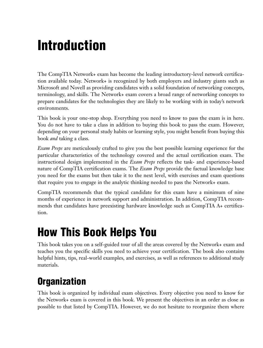# **Introduction**

The CompTIA Network+ exam has become the leading introductory-level network certification available today. Network+ is recognized by both employers and industry giants such as Microsoft and Novell as providing candidates with a solid foundation of networking concepts, terminology, and skills. The Network+ exam covers a broad range of networking concepts to prepare candidates for the technologies they are likely to be working with in today's network environments.

This book is your one-stop shop. Everything you need to know to pass the exam is in here. You do not have to take a class in addition to buying this book to pass the exam. However, depending on your personal study habits or learning style, you might benefit from buying this book *and* taking a class.

*Exam Preps* are meticulously crafted to give you the best possible learning experience for the particular characteristics of the technology covered and the actual certification exam. The instructional design implemented in the *Exam Preps* reflects the task- and experience-based nature of CompTIA certification exams. The *Exam Preps* provide the factual knowledge base you need for the exams but then take it to the next level, with exercises and exam questions that require you to engage in the analytic thinking needed to pass the Network+ exam.

CompTIA recommends that the typical candidate for this exam have a minimum of nine months of experience in network support and administration. In addition, CompTIA recommends that candidates have preexisting hardware knowledge such as CompTIA A+ certification.

# **How This Book Helps You**

This book takes you on a self-guided tour of all the areas covered by the Network+ exam and teaches you the specific skills you need to achieve your certification. The book also contains helpful hints, tips, real-world examples, and exercises, as well as references to additional study materials.

## **Organization**

This book is organized by individual exam objectives. Every objective you need to know for the Network+ exam is covered in this book. We present the objectives in an order as close as possible to that listed by CompTIA. However, we do not hesitate to reorganize them where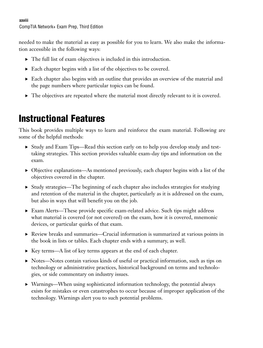#### **xxviii**

CompTIA Network+ Exam Prep, Third Edition

needed to make the material as easy as possible for you to learn. We also make the information accessible in the following ways:

- . The full list of exam objectives is included in this introduction.
- . Each chapter begins with a list of the objectives to be covered.
- $\triangleright$  Each chapter also begins with an outline that provides an overview of the material and the page numbers where particular topics can be found.
- $\blacktriangleright$  The objectives are repeated where the material most directly relevant to it is covered.

## **Instructional Features**

This book provides multiple ways to learn and reinforce the exam material. Following are some of the helpful methods:

- . Study and Exam Tips—Read this section early on to help you develop study and testtaking strategies. This section provides valuable exam-day tips and information on the exam.
- $\triangleright$  Objective explanations—As mentioned previously, each chapter begins with a list of the objectives covered in the chapter.
- . Study strategies—The beginning of each chapter also includes strategies for studying and retention of the material in the chapter, particularly as it is addressed on the exam, but also in ways that will benefit you on the job.
- . Exam Alerts—These provide specific exam-related advice. Such tips might address what material is covered (or not covered) on the exam, how it is covered, mnemonic devices, or particular quirks of that exam.
- . Review breaks and summaries—Crucial information is summarized at various points in the book in lists or tables. Each chapter ends with a summary, as well.
- . Key terms—A list of key terms appears at the end of each chapter.
- . Notes—Notes contain various kinds of useful or practical information, such as tips on technology or administrative practices, historical background on terms and technologies, or side commentary on industry issues.
- . Warnings—When using sophisticated information technology, the potential always exists for mistakes or even catastrophes to occur because of improper application of the technology. Warnings alert you to such potential problems.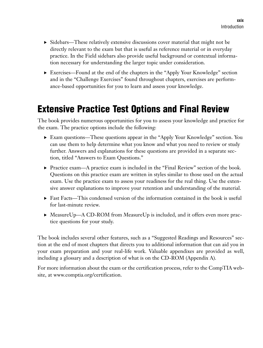- $\triangleright$  Sidebars—These relatively extensive discussions cover material that might not be directly relevant to the exam but that is useful as reference material or in everyday practice. In the Field sidebars also provide useful background or contextual information necessary for understanding the larger topic under consideration.
- . Exercises—Found at the end of the chapters in the "Apply Your Knowledge" section and in the "Challenge Exercises" found throughout chapters, exercises are performance-based opportunities for you to learn and assess your knowledge.

## **Extensive Practice Test Options and Final Review**

The book provides numerous opportunities for you to assess your knowledge and practice for the exam. The practice options include the following:

- . Exam questions—These questions appear in the "Apply Your Knowledge" section. You can use them to help determine what you know and what you need to review or study further. Answers and explanations for these questions are provided in a separate section, titled "Answers to Exam Questions."
- . Practice exam—A practice exam is included in the "Final Review" section of the book. Questions on this practice exam are written in styles similar to those used on the actual exam. Use the practice exam to assess your readiness for the real thing. Use the extensive answer explanations to improve your retention and understanding of the material.
- $\triangleright$  Fast Facts—This condensed version of the information contained in the book is useful for last-minute review.
- $\triangleright$  MeasureUp—A CD-ROM from MeasureUp is included, and it offers even more practice questions for your study.

The book includes several other features, such as a "Suggested Readings and Resources" section at the end of most chapters that directs you to additional information that can aid you in your exam preparation and your real-life work. Valuable appendixes are provided as well, including a glossary and a description of what is on the CD-ROM (Appendix A).

For more information about the exam or the certification process, refer to the CompTIA website, at [www.comptia.org/certification.](www.comptia.org/certification)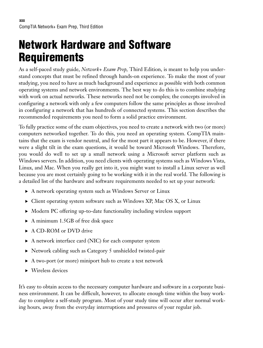# **Network Hardware and Software Requirements**

As a self-paced study guide, *Network+ Exam Prep,* Third Edition, is meant to help you understand concepts that must be refined through hands-on experience. To make the most of your studying, you need to have as much background and experience as possible with both common operating systems and network environments. The best way to do this is to combine studying with work on actual networks. These networks need not be complex; the concepts involved in configuring a network with only a few computers follow the same principles as those involved in configuring a network that has hundreds of connected systems. This section describes the recommended requirements you need to form a solid practice environment.

To fully practice some of the exam objectives, you need to create a network with two (or more) computers networked together. To do this, you need an operating system. CompTIA maintains that the exam is vendor neutral, and for the most part it appears to be. However, if there were a slight tilt in the exam questions, it would be toward Microsoft Windows. Therefore, you would do well to set up a small network using a Microsoft server platform such as Windows servers. In addition, you need clients with operating systems such as Windows Vista, Linux, and Mac. When you really get into it, you might want to install a Linux server as well because you are most certainly going to be working with it in the real world. The following is a detailed list of the hardware and software requirements needed to set up your network:

- . A network operating system such as Windows Server or Linux
- Client operating system software such as Windows XP, Mac OS X, or Linux
- . Modern PC offering up-to-date functionality including wireless support
- A minimum 1.5GB of free disk space
- A CD-ROM or DVD drive
- . A network interface card (NIC) for each computer system
- . Network cabling such as Category 5 unshielded twisted-pair
- ▶ A two-port (or more) miniport hub to create a test network
- $\blacktriangleright$  Wireless devices

It's easy to obtain access to the necessary computer hardware and software in a corporate business environment. It can be difficult, however, to allocate enough time within the busy workday to complete a self-study program. Most of your study time will occur after normal working hours, away from the everyday interruptions and pressures of your regular job.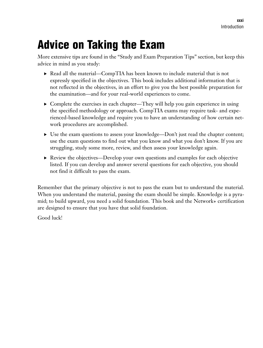# **Advice on Taking the Exam**

More extensive tips are found in the "Study and Exam Preparation Tips" section, but keep this advice in mind as you study:

- . Read all the material—CompTIA has been known to include material that is not expressly specified in the objectives. This book includes additional information that is not reflected in the objectives, in an effort to give you the best possible preparation for the examination—and for your real-world experiences to come.
- $\triangleright$  Complete the exercises in each chapter—They will help you gain experience in using the specified methodology or approach. CompTIA exams may require task- and experienced-based knowledge and require you to have an understanding of how certain network procedures are accomplished.
- $\triangleright$  Use the exam questions to assess your knowledge—Don't just read the chapter content; use the exam questions to find out what you know and what you don't know. If you are struggling, study some more, review, and then assess your knowledge again.
- . Review the objectives—Develop your own questions and examples for each objective listed. If you can develop and answer several questions for each objective, you should not find it difficult to pass the exam.

Remember that the primary objective is not to pass the exam but to understand the material. When you understand the material, passing the exam should be simple. Knowledge is a pyramid; to build upward, you need a solid foundation. This book and the Network+ certification are designed to ensure that you have that solid foundation.

Good luck!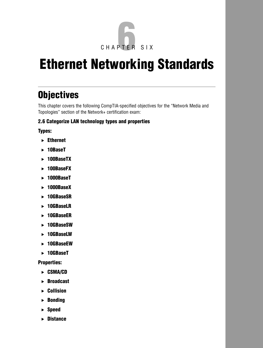

# **Ethernet Networking Standards**

## **Objectives**

This chapter covers the following CompTIA-specified objectives for the "Network Media and Topologies" section of the Network+ certification exam:

### **2.6 Categorize LAN technology types and properties**

**Types:**

- . **Ethernet**
- . **10BaseT**
- . **100BaseTX**
- . **100BaseFX**
- . **1000BaseT**
- . **1000BaseX**
- . **10GBaseSR**
- . **10GBaseLR**
- . **10GBaseER**
- . **10GBaseSW**
- . **10GBaseLW**
- . **10GBaseEW**
- . **10GBaseT**

**Properties:**

- . **CSMA/CD**
- . **Broadcast**
- . **Collision**
- . **Bonding**
- . **Speed**
- . **Distance**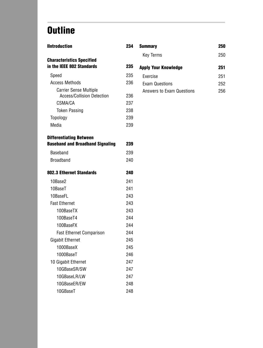## **Outline**

| <b>IIntroduction</b>                                                      |     |  |
|---------------------------------------------------------------------------|-----|--|
| <b>Characteristics Specified</b><br>in the IEEE 802 Standards             |     |  |
|                                                                           | 235 |  |
| Speed                                                                     | 235 |  |
| <b>Access Methods</b>                                                     | 236 |  |
| <b>Carrier Sense Multiple</b><br><b>Access/Collision Detection</b>        | 236 |  |
| CSMA/CA                                                                   | 237 |  |
| <b>Token Passing</b>                                                      | 238 |  |
| Topology                                                                  | 239 |  |
| Media                                                                     | 239 |  |
| <b>Differentiating Between</b><br><b>Baseband and Broadband Signaling</b> | 239 |  |
|                                                                           |     |  |
| Baseband                                                                  | 239 |  |
| <b>Broadband</b>                                                          | 240 |  |
| 802.3 Ethernet Standards                                                  | 240 |  |
| 10Base2                                                                   | 241 |  |
| 10BaseT                                                                   | 241 |  |
| 10BaseFL                                                                  | 243 |  |
| <b>Fast Fthernet</b>                                                      | 243 |  |
| 100BaseTX                                                                 | 243 |  |
| 100BaseT4                                                                 | 244 |  |
| 100BaseFX                                                                 | 244 |  |
| <b>Fast Ethernet Comparison</b>                                           | 244 |  |
| <b>Gigabit Ethernet</b>                                                   | 245 |  |
| 1000BaseX                                                                 | 245 |  |
| 1000BaseT                                                                 | 246 |  |
| 10 Gigabit Ethernet                                                       | 247 |  |
| 10GBaseSR/SW                                                              | 247 |  |
| 10GBaseLR/LW                                                              | 247 |  |
| 10GBaseER/EW                                                              | 248 |  |
| 10GBaseT                                                                  | 248 |  |

| 34 | Summary   | 250 |
|----|-----------|-----|
|    | Key Terms | 250 |

| <b>Apply Your Knowledge</b> | 251 |
|-----------------------------|-----|
| Exercise                    | 251 |
| <b>Exam Questions</b>       | 252 |
| Answers to Exam Questions   | 256 |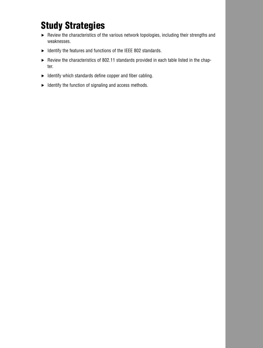## **Study Strategies**

- . Review the characteristics of the various network topologies, including their strengths and weaknesses.
- . Identify the features and functions of the IEEE 802 standards.
- . Review the characteristics of 802.11 standards provided in each table listed in the chapter.
- $\blacktriangleright$  Identify which standards define copper and fiber cabling.
- $\blacktriangleright$  Identify the function of signaling and access methods.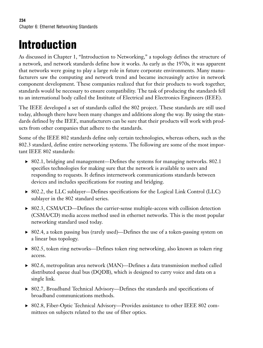# **Introduction**

As discussed in Chapter 1, "Introduction to Networking," a topology defines the structure of a network, and network standards define how it works. As early as the 1970s, it was apparent that networks were going to play a large role in future corporate environments. Many manufacturers saw the computing and network trend and became increasingly active in network component development. These companies realized that for their products to work together, standards would be necessary to ensure compatibility. The task of producing the standards fell to an international body called the Institute of Electrical and Electronics Engineers (IEEE).

The IEEE developed a set of standards called the 802 project. These standards are still used today, although there have been many changes and additions along the way. By using the standards defined by the IEEE, manufacturers can be sure that their products will work with products from other companies that adhere to the standards.

Some of the IEEE 802 standards define only certain technologies, whereas others, such as the 802.3 standard, define entire networking systems. The following are some of the most important IEEE 802 standards:

- ► 802.1, bridging and management—Defines the systems for managing networks. 802.1 specifies technologies for making sure that the network is available to users and responding to requests. It defines internetwork communications standards between devices and includes specifications for routing and bridging.
- ▶ 802.2, the LLC sublayer—Defines specifications for the Logical Link Control (LLC) sublayer in the 802 standard series.
- ▶ 802.3, CSMA/CD—Defines the carrier-sense multiple-access with collision detection (CSMA/CD) media access method used in ethernet networks. This is the most popular networking standard used today.
- ▶ 802.4, a token passing bus (rarely used)—Defines the use of a token-passing system on a linear bus topology.
- . 802.5, token ring networks—Defines token ring networking, also known as token ring access.
- . 802.6, metropolitan area network (MAN)—Defines a data transmission method called distributed queue dual bus (DQDB), which is designed to carry voice and data on a single link.
- . 802.7, Broadband Technical Advisory—Defines the standards and specifications of broadband communications methods.
- . 802.8, Fiber-Optic Technical Advisory—Provides assistance to other IEEE 802 committees on subjects related to the use of fiber optics.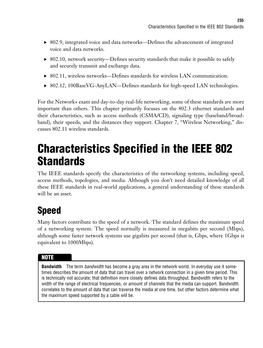- . 802.9, integrated voice and data networks—Defines the advancement of integrated voice and data networks.
- ▶ 802.10, network security—Defines security standards that make it possible to safely and securely transmit and exchange data.
- ▶ 802.11, wireless networks—Defines standards for wireless LAN communication.
- ▶ 802.12, 100BaseVG-AnyLAN—Defines standards for high-speed LAN technologies.

For the Network+ exam and day-to-day real-life networking, some of these standards are more important than others. This chapter primarily focuses on the 802.3 ethernet standards and their characteristics, such as access methods (CSMA/CD), signaling type (baseband/broadband), their speeds, and the distances they support. Chapter 7, "Wireless Networking," discusses 802.11 wireless standards.

## **Characteristics Specified in the IEEE 802 Standards**

The IEEE standards specify the characteristics of the networking systems, including speed, access methods, topologies, and media. Although you don't need detailed knowledge of all these IEEE standards in real-world applications, a general understanding of these standards will be an asset.

## **Speed**

Many factors contribute to the speed of a network. The standard defines the maximum speed of a networking system. The speed normally is measured in megabits per second (Mbps), although some faster network systems use gigabits per second (that is, Gbps, where 1Gbps is equivalent to 1000Mbps).

### **NOTE**

**Bandwidth** The term bandwidth has become a gray area in the network world. In everyday use it sometimes describes the amount of data that can travel over a network connection in a given time period. This is technically not accurate; that definition more closely defines data throughput. Bandwidth refers to the width of the range of electrical frequencies, or amount of channels that the media can support. Bandwidth correlates to the amount of data that can traverse the media at one time, but other factors determine what the maximum speed supported by a cable will be.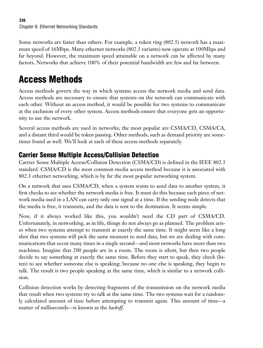Some networks are faster than others. For example, a token ring (802.5) network has a maximum speed of 16Mbps. Many ethernet networks (802.3 variants) now operate at 100Mbps and far beyond. However, the maximum speed attainable on a network can be affected by many factors. Networks that achieve 100% of their potential bandwidth are few and far between.

## **Access Methods**

Access methods govern the way in which systems access the network media and send data. Access methods are necessary to ensure that systems on the network can communicate with each other. Without an access method, it would be possible for two systems to communicate at the exclusion of every other system. Access methods ensure that everyone gets an opportunity to use the network.

Several access methods are used in networks; the most popular are CSMA/CD, CSMA/CA, and a distant third would be token passing. Other methods, such as demand priority are sometimes found as well. We'll look at each of these access methods separately.

## **Carrier Sense Multiple Access/Collision Detection**

Carrier Sense Multiple Access/Collision Detection (CSMA/CD) is defined in the IEEE 802.3 standard. CSMA/CD is the most common media access method because it is associated with 802.3 ethernet networking, which is by far the most popular networking system.

On a network that uses CSMA/CD, when a system wants to send data to another system, it first checks to see whether the network media is free. It must do this because each piece of network media used in a LAN can carry only one signal at a time. If the sending node detects that the media is free, it transmits, and the data is sent to the destination. It seems simple.

Now, if it always worked like this, you wouldn't need the CD part of CSMA/CD. Unfortunately, in networking, as in life, things do not always go as planned. The problem arises when two systems attempt to transmit at exactly the same time. It might seem like a long shot that two systems will pick the same moment to send data, but we are dealing with communications that occur many times in a single second—and most networks have more than two machines. Imagine that 200 people are in a room. The room is silent, but then two people decide to say something at exactly the same time. Before they start to speak, they check (listen) to see whether someone else is speaking; because no one else is speaking, they begin to talk. The result is two people speaking at the same time, which is similar to a network collision.

Collision detection works by detecting fragments of the transmission on the network media that result when two systems try to talk at the same time. The two systems wait for a randomly calculated amount of time before attempting to transmit again. This amount of time—a matter of milliseconds—is known as the *backoff*.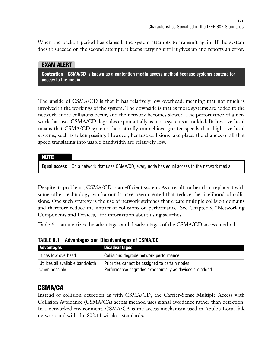When the backoff period has elapsed, the system attempts to transmit again. If the system doesn't succeed on the second attempt, it keeps retrying until it gives up and reports an error.

#### **EXAM ALERT**

**Contention CSMA/CD is known as a contention media access method because systems contend for access to the media.**

The upside of CSMA/CD is that it has relatively low overhead, meaning that not much is involved in the workings of the system. The downside is that as more systems are added to the network, more collisions occur, and the network becomes slower. The performance of a network that uses CSMA/CD degrades exponentially as more systems are added. Its low overhead means that CSMA/CD systems theoretically can achieve greater speeds than high-overhead systems, such as token passing. However, because collisions take place, the chances of all that speed translating into usable bandwidth are relatively low.

#### **NOTE**

**Equal access** On a network that uses CSMA/CD, every node has equal access to the network media.

Despite its problems, CSMA/CD is an efficient system. As a result, rather than replace it with some other technology, workarounds have been created that reduce the likelihood of collisions. One such strategy is the use of network switches that create multiple collision domains and therefore reduce the impact of collisions on performance. See Chapter 3, "Networking Components and Devices," for information about using switches.

Table 6.1 summarizes the advantages and disadvantages of the CSMA/CD access method.

| Advantages                       | <b>Disadvantages</b>                                     |
|----------------------------------|----------------------------------------------------------|
| It has low overhead.             | Collisions degrade network performance.                  |
| Utilizes all available bandwidth | Priorities cannot be assigned to certain nodes.          |
| when possible.                   | Performance degrades exponentially as devices are added. |

**TABLE 6.1 Advantages and Disadvantages of CSMA/CD**

### **CSMA/CA**

Instead of collision detection as with CSMA/CD, the Carrier-Sense Multiple Access with Collision Avoidance (CSMA/CA) access method uses signal avoidance rather than detection. In a networked environment, CSMA/CA is the access mechanism used in Apple's LocalTalk network and with the 802.11 wireless standards.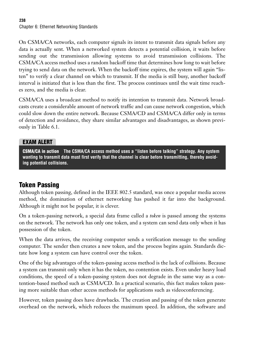On CSMA/CA networks, each computer signals its intent to transmit data signals before any data is actually sent. When a networked system detects a potential collision, it waits before sending out the transmission allowing systems to avoid transmission collisions. The CSMA/CA access method uses a random backoff time that determines how long to wait before trying to send data on the network. When the backoff time expires, the system will again "listen" to verify a clear channel on which to transmit. If the media is still busy, another backoff interval is initiated that is less than the first. The process continues until the wait time reaches zero, and the media is clear.

CSMA/CA uses a broadcast method to notify its intention to transmit data. Network broadcasts create a considerable amount of network traffic and can cause network congestion, which could slow down the entire network. Because CSMA/CD and CSMA/CA differ only in terms of detection and avoidance, they share similar advantages and disadvantages, as shown previously in Table 6.1.

#### **EXAM ALERT**

**CSMA/CA in action The CSMA/CA access method uses a "listen before talking" strategy. Any system wanting to transmit data must first verify that the channel is clear before transmitting, thereby avoiding potential collisions.**

### **Token Passing**

Although token passing, defined in the IEEE 802.5 standard, was once a popular media access method, the domination of ethernet networking has pushed it far into the background. Although it might not be popular, it is clever.

On a token-passing network, a special data frame called a *token* is passed among the systems on the network. The network has only one token, and a system can send data only when it has possession of the token.

When the data arrives, the receiving computer sends a verification message to the sending computer. The sender then creates a new token, and the process begins again. Standards dictate how long a system can have control over the token.

One of the big advantages of the token-passing access method is the lack of collisions. Because a system can transmit only when it has the token, no contention exists. Even under heavy load conditions, the speed of a token-passing system does not degrade in the same way as a contention-based method such as CSMA/CD. In a practical scenario, this fact makes token passing more suitable than other access methods for applications such as videoconferencing.

However, token passing does have drawbacks. The creation and passing of the token generate overhead on the network, which reduces the maximum speed. In addition, the software and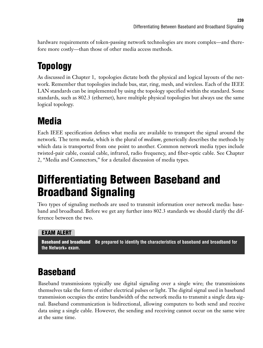hardware requirements of token-passing network technologies are more complex—and therefore more costly—than those of other media access methods.

## **Topology**

As discussed in Chapter 1, topologies dictate both the physical and logical layouts of the network. Remember that topologies include bus, star, ring, mesh, and wireless. Each of the IEEE LAN standards can be implemented by using the topology specified within the standard. Some standards, such as 802.3 (ethernet), have multiple physical topologies but always use the same logical topology.

# **Media**

Each IEEE specification defines what media are available to transport the signal around the network. The term *media*, which is the plural of *medium*, generically describes the methods by which data is transported from one point to another. Common network media types include twisted-pair cable, coaxial cable, infrared, radio frequency, and fiber-optic cable. See Chapter 2, "Media and Connectors," for a detailed discussion of media types.

# **Differentiating Between Baseband and Broadband Signaling**

Two types of signaling methods are used to transmit information over network media: baseband and broadband. Before we get any further into 802.3 standards we should clarify the difference between the two.

### **EXAM ALERT**

**Baseband and broadband Be prepared to identify the characteristics of baseband and broadband for the Network+ exam.**

## **Baseband**

Baseband transmissions typically use digital signaling over a single wire; the transmissions themselves take the form of either electrical pulses or light. The digital signal used in baseband transmission occupies the entire bandwidth of the network media to transmit a single data signal. Baseband communication is bidirectional, allowing computers to both send and receive data using a single cable. However, the sending and receiving cannot occur on the same wire at the same time.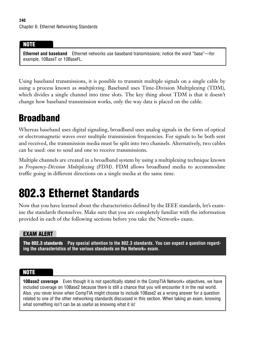### **NOTE**

**Ethernet and baseband** Ethernet networks use baseband transmissions; notice the word "base"—for example, 10BaseT or 10BaseFL.

Using baseband transmissions, it is possible to transmit multiple signals on a single cable by using a process known as *multiplexing*. Baseband uses Time-Division Multiplexing (TDM), which divides a single channel into time slots. The key thing about TDM is that it doesn't change how baseband transmission works, only the way data is placed on the cable.

## **Broadband**

Whereas baseband uses digital signaling, broadband uses analog signals in the form of optical or electromagnetic waves over multiple transmission frequencies. For signals to be both sent and received, the transmission media must be split into two channels. Alternatively, two cables can be used: one to send and one to receive transmissions.

Multiple channels are created in a broadband system by using a multiplexing technique known as *Frequency-Division Multiplexing (FDM)*. FDM allows broadband media to accommodate traffic going in different directions on a single media at the same time.

# **802.3 Ethernet Standards**

Now that you have learned about the characteristics defined by the IEEE standards, let's examine the standards themselves. Make sure that you are completely familiar with the information provided in each of the following sections before you take the Network+ exam.

### **EXAM ALERT**

**The 802.3 standards Pay special attention to the 802.3 standards. You can expect a question regarding the characteristics of the various standards on the Network+ exam.**

### **NOTE**

**10Base2 coverage** Even though it is not specifically stated in the CompTIA Network+ objectives, we have included coverage on 10Base2 because there is still a chance that you will encounter it in the real world. Also, you never know when CompTIA might choose to include 10Base2 as a wrong answer for a question related to one of the other networking standards discussed in this section. When taking an exam, knowing what something isn't can be as useful as knowing what it is!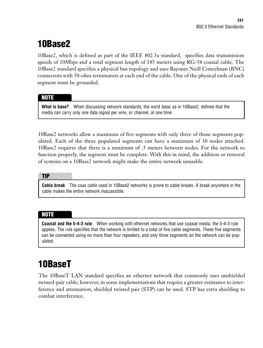## **10Base2**

10Base2, which is defined as part of the IEEE 802.3a standard, specifies data transmission speeds of 10Mbps and a total segment length of 185 meters using RG-58 coaxial cable. The 10Base2 standard specifies a physical bus topology and uses Bayonet Neill Concelman (BNC) connectors with 50-ohm terminators at each end of the cable. One of the physical ends of each segment must be grounded.

### **NOTE**

**What is base?** When discussing network standards, the word base, as in 10Base2, defines that the media can carry only one data signal per wire, or channel, at one time.

10Base2 networks allow a maximum of five segments with only three of those segments populated. Each of the three populated segments can have a maximum of 30 nodes attached. 10Base2 requires that there is a minimum of .5 meters between nodes. For the network to function properly, the segment must be complete. With this in mind, the addition or removal of systems on a 10Base2 network might make the entire network unusable.

#### **TIP**

**Cable break** The coax cable used in 10Base2 networks is prone to cable breaks. A break anywhere in the cable makes the entire network inaccessible.

### **NOTE**

**Coaxial and the 5-4-3 rule** When working with ethernet networks that use coaxial media, the 5-4-3 rule applies. The rule specifies that the network is limited to a total of five cable segments. These five segments can be connected using no more than four repeaters, and only three segments on the network can be populated.

## **10BaseT**

The 10BaseT LAN standard specifies an ethernet network that commonly uses unshielded twisted-pair cable; however, in some implementations that require a greater resistance to interference and attenuation, shielded twisted pair (STP) can be used. STP has extra shielding to combat interference.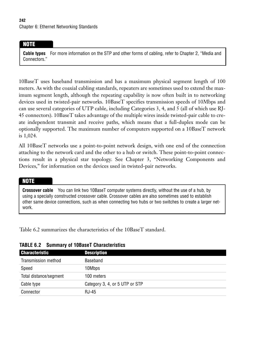#### **NOTE**

**Cable types** For more information on the STP and other forms of cabling, refer to Chapter 2, "Media and Connectors."

10BaseT uses baseband transmission and has a maximum physical segment length of 100 meters. As with the coaxial cabling standards, repeaters are sometimes used to extend the maximum segment length, although the repeating capability is now often built in to networking devices used in twisted-pair networks. 10BaseT specifies transmission speeds of 10Mbps and can use several categories of UTP cable, including Categories 3, 4, and 5 (all of which use RJ-45 connectors). 10BaseT takes advantage of the multiple wires inside twisted-pair cable to create independent transmit and receive paths, which means that a full-duplex mode can be optionally supported. The maximum number of computers supported on a 10BaseT network is 1,024.

All 10BaseT networks use a point-to-point network design, with one end of the connection attaching to the network card and the other to a hub or switch. These point-to-point connections result in a physical star topology. See Chapter 3, "Networking Components and Devices," for information on the devices used in twisted-pair networks.

#### **NOTE**

**Crossover cable** You can link two 10BaseT computer systems directly, without the use of a hub, by using a specially constructed crossover cable. Crossover cables are also sometimes used to establish other same device connections, such as when connecting two hubs or two switches to create a larger network.

Table 6.2 summarizes the characteristics of the 10BaseT standard.

| <b>Characteristic</b>  | <b>Description</b>             |
|------------------------|--------------------------------|
| Transmission method    | Baseband                       |
| Speed                  | 10Mbps                         |
| Total distance/segment | 100 meters                     |
| Cable type             | Category 3, 4, or 5 UTP or STP |
| Connector              | RJ-45                          |

**TABLE 6.2 Summary of 10BaseT Characteristics**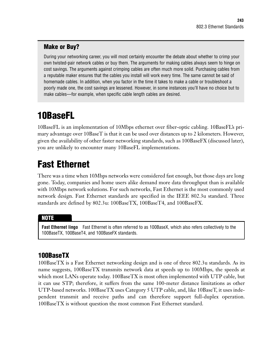### **Make or Buy?**

During your networking career, you will most certainly encounter the debate about whether to crimp your own twisted-pair network cables or buy them. The arguments for making cables always seem to hinge on cost savings. The arguments against crimping cables are often much more solid. Purchasing cables from a reputable maker ensures that the cables you install will work every time. The same cannot be said of homemade cables. In addition, when you factor in the time it takes to make a cable or troubleshoot a poorly made one, the cost savings are lessened. However, in some instances you'll have no choice but to make cables—for example, when specific cable length cables are desired.

## **10BaseFL**

10BaseFL is an implementation of 10Mbps ethernet over fiber-optic cabling. 10BaseFL's primary advantage over  $10BaseT$  is that it can be used over distances up to 2 kilometers. However, given the availability of other faster networking standards, such as 100BaseFX (discussed later), you are unlikely to encounter many 10BaseFL implementations.

## **Fast Ethernet**

There was a time when 10Mbps networks were considered fast enough, but those days are long gone. Today, companies and home users alike demand more data throughput than is available with 10Mbps network solutions. For such networks, Fast Ethernet is the most commonly used network design. Fast Ethernet standards are specified in the IEEE 802.3u standard. Three standards are defined by 802.3u: 100BaseTX, 100BaseT4, and 100BaseFX.

### **NOTE**

**Fast Ethernet lingo** Fast Ethernet is often referred to as 100BaseX, which also refers collectively to the 100BaseTX, 100BaseT4, and 100BaseFX standards.

## **100BaseTX**

100BaseTX is a Fast Ethernet networking design and is one of three 802.3u standards. As its name suggests, 100BaseTX transmits network data at speeds up to 100Mbps, the speeds at which most LANs operate today. 100BaseTX is most often implemented with UTP cable, but it can use STP; therefore, it suffers from the same 100-meter distance limitations as other UTP-based networks. 100BaseTX uses Category 5 UTP cable, and, like 10BaseT, it uses independent transmit and receive paths and can therefore support full-duplex operation. 100BaseTX is without question the most common Fast Ethernet standard.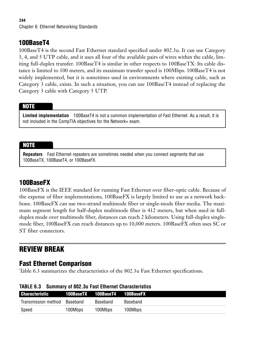Chapter 6: Ethernet Networking Standards

## **100BaseT4**

100BaseT4 is the second Fast Ethernet standard specified under 802.3u. It can use Category 3, 4, and 5 UTP cable, and it uses all four of the available pairs of wires within the cable, limiting full-duplex transfer. 100BaseT4 is similar in other respects to 100BaseTX: Its cable distance is limited to 100 meters, and its maximum transfer speed is 100Mbps. 100BaseT4 is not widely implemented, but it is sometimes used in environments where existing cable, such as Category 3 cable, exists. In such a situation, you can use 100BaseT4 instead of replacing the Category 3 cable with Category 5 UTP.

### **NOTE**

**Limited implementation** 100BaseT4 is not a common implementation of Fast Ethernet. As a result, it is not included in the CompTIA objectives for the Network+ exam.

### **NOTE**

**Repeaters** Fast Ethernet repeaters are sometimes needed when you connect segments that use 100BaseTX, 100BaseT4, or 100BaseFX.

## **100BaseFX**

100BaseFX is the IEEE standard for running Fast Ethernet over fiber-optic cable. Because of the expense of fiber implementations, 100BaseFX is largely limited to use as a network backbone. 100BaseFX can use two-strand multimode fiber or single-mode fiber media. The maximum segment length for half-duplex multimode fiber is 412 meters, but when used in fullduplex mode over multimode fiber, distances can reach 2 kilometers. Using full-duplex singlemode fiber, 100BaseFX can reach distances up to 10,000 meters. 100BaseFX often uses SC or ST fiber connectors.

## **REVIEW BREAK**

## **Fast Ethernet Comparison**

Table 6.3 summarizes the characteristics of the 802.3u Fast Ethernet specifications.

| <b>Characteristic</b> |          | 100BaseTX 100BaseT4 100BaseFX |          |
|-----------------------|----------|-------------------------------|----------|
| Transmission method   | Baseband | Baseband                      | Baseband |
| Speed                 | 100Mbps  | 100Mbps                       | 100Mbps  |

**TABLE 6.3 Summary of 802.3u Fast Ethernet Characteristics**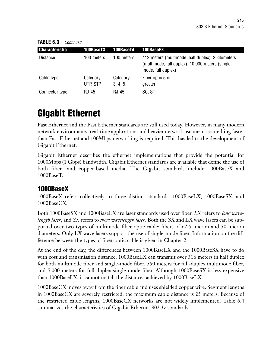| <b>Characteristic</b> | 100BaseTX            | 100BaseT4         | 100BaseFX                                                                                                                  |
|-----------------------|----------------------|-------------------|----------------------------------------------------------------------------------------------------------------------------|
| <b>Distance</b>       | 100 meters           | 100 meters        | 412 meters (multimode, half duplex); 2 kilometers<br>(multimode, full duplex); 10,000 meters (single<br>mode, full duplex) |
| Cable type            | Category<br>UTP, STP | Category<br>3.4.5 | Fiber optic 5 or<br>greater                                                                                                |
| Connector type        | RJ-45                | RJ-45             | SC, ST                                                                                                                     |

**TABLE 6.3** Continued

## **Gigabit Ethernet**

Fast Ethernet and the Fast Ethernet standards are still used today. However, in many modern network environments, real-time applications and heavier network use means something faster than Fast Ethernet and 100Mbps networking is required. This has led to the development of Gigabit Ethernet.

Gigabit Ethernet describes the ethernet implementations that provide the potential for 1000Mbps (1 Gbps) bandwidth. Gigabit Ethernet standards are available that define the use of both fiber- and copper-based media. The Gigabit standards include 1000BaseX and 1000BaseT.

### **1000BaseX**

1000BaseX refers collectively to three distinct standards: 1000BaseLX, 1000BaseSX, and 1000BaseCX.

Both 1000BaseSX and 1000BaseLX are laser standards used over fiber. *LX* refers to *long wavelength laser*, and *SX* refers to *short wavelength laser*. Both the SX and LX wave lasers can be supported over two types of multimode fiber-optic cable: fibers of 62.5 micron and 50 micron diameters. Only LX wave lasers support the use of single-mode fiber. Information on the difference between the types of fiber-optic cable is given in Chapter 2.

At the end of the day, the differences between 1000BaseLX and the 1000BaseSX have to do with cost and transmission distance. 1000BaseLX can transmit over 316 meters in half duplex for both multimode fiber and single-mode fiber, 550 meters for full-duplex multimode fiber, and 5,000 meters for full-duplex single-mode fiber. Although 1000BaseSX is less expensive than 1000BaseLX, it cannot match the distances achieved by 1000BaseLX.

1000BaseCX moves away from the fiber cable and uses shielded copper wire. Segment lengths in 1000BaseCX are severely restricted; the maximum cable distance is 25 meters. Because of the restricted cable lengths, 1000BaseCX networks are not widely implemented. Table 6.4 summarizes the characteristics of Gigabit Ethernet 802.3z standards.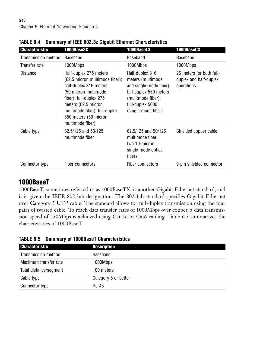| <b>Characteristic</b>        | 1000BaseSX                                                                                                                                                                                                                                 | 1000BaseLX                                                                                                                                                 | 1000BaseCX                                                       |
|------------------------------|--------------------------------------------------------------------------------------------------------------------------------------------------------------------------------------------------------------------------------------------|------------------------------------------------------------------------------------------------------------------------------------------------------------|------------------------------------------------------------------|
| Transmission method          | Baseband                                                                                                                                                                                                                                   | Baseband                                                                                                                                                   | Baseband                                                         |
| Transfer rate                | 1000Mbps                                                                                                                                                                                                                                   | 1000Mbps                                                                                                                                                   | 1000Mbps                                                         |
| Distance                     | Half-duplex 275 meters<br>(62.5 micron multimode fiber);<br>half-duplex 316 meters<br>(50 micron multimode<br>fiber); full-duplex 275<br>meters (62.5 micron<br>multimode fiber); full-duplex<br>550 meters (50 micron<br>multimode fiber) | Half-duplex 316<br>meters (multimode<br>and single-mode fiber);<br>full-duplex 550 meters<br>(mulitmode fiber);<br>full-duplex 5000<br>(single-mode fiber) | 25 meters for both full-<br>duplex and half-duplex<br>operations |
| Cable type<br>Connector type | 62.5/125 and 50/125<br>multimode fiber<br>Fiber connectors                                                                                                                                                                                 | 62.5/125 and 50/125<br>multimode fiber;<br>two 10-micron<br>single-mode optical<br>fibers<br>Fiber connectors                                              | Shielded copper cable<br>9-pin shielded connector                |
|                              |                                                                                                                                                                                                                                            |                                                                                                                                                            |                                                                  |

**TABLE 6.4 Summary of IEEE 802.3z Gigabit Ethernet Characteristics**

## **1000BaseT**

1000BaseT, sometimes referred to as 1000BaseTX, is another Gigabit Ethernet standard, and it is given the IEEE 802.3ab designation. The 802.3ab standard specifies Gigabit Ethernet over Category 5 UTP cable. The standard allows for full-duplex transmission using the four pairs of twisted cable. To reach data transfer rates of 1000Mbps over copper, a data transmission speed of 250Mbps is achieved using Cat 5e or Cat6 cabling. Table 6.5 summarizes the characteristics of 1000BaseT.

**TABLE 6.5 Summary of 1000BaseT Characteristics**

| <b>Characteristic</b>  | <b>Description</b>   |
|------------------------|----------------------|
| Transmission method    | Baseband             |
| Maximum transfer rate  | 1000Mbps             |
| Total distance/segment | 100 meters           |
| Cable type             | Category 5 or better |
| Connector type         | RJ-45                |
|                        |                      |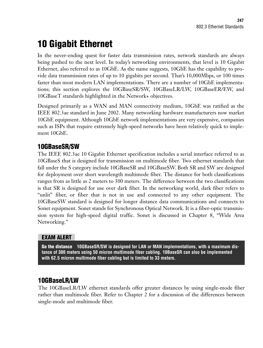## **10 Gigabit Ethernet**

In the never-ending quest for faster data transmission rates, network standards are always being pushed to the next level. In today's networking environments, that level is 10 Gigabit Ethernet, also referred to as 10GbE. As the name suggests, 10GbE has the capability to provide data transmission rates of up to 10 gigabits per second. That's 10,000Mbps, or 100 times faster than most modern LAN implementations. There are a number of 10GbE implementations; this section explores the 10GBaseSR/SW, 10GBaseLR/LW, 10GBaseER/EW, and 10GBaseT standards highlighted in the Network+ objectives.

Designed primarily as a WAN and MAN connectivity medium, 10GbE was ratified as the IEEE 802.3ae standard in June 2002. Many networking hardware manufacturers now market 10GbE equipment. Although 10GbE network implementations are very expensive, companies such as ISPs that require extremely high-speed networks have been relatively quick to implement 10GbE.

## **10GBaseSR/SW**

The IEEE 802.3ae 10 Gigabit Ethernet specification includes a serial interface referred to as 10GBaseS that is designed for transmission on multimode fiber. Two ethernet standards that fall under the S category include 10GBaseSR and 10GBaseSW. Both SR and SW are designed for deployment over short wavelength multimode fiber. The distance for both classifications ranges from as little as 2 meters to 300 meters. The difference between the two classifications is that SR is designed for use over dark fiber. In the networking world, dark fiber refers to "unlit" fiber, or fiber that is not in use and connected to any other equipment. The 10GBaseSW standard is designed for longer distance data communications and connects to Sonet equipment. Sonet stands for Synchronous Optical Network. It is a fiber-optic transmission system for high-speed digital traffic. Sonet is discussed in Chapter 8, "Wide Area Networking."

### **EXAM ALERT**

**Go the distance 10GBaseSR/SW is designed for LAN or MAN implementations, with a maximum distance of 300 meters using 50 micron multimode fiber cabling. 10BaseSR can also be implemented with 62.5 micron multimode fiber cabling but is limited to 33 meters.**

## **10GBaseLR/LW**

The 10GBaseLR/LW ethernet standards offer greater distances by using single-mode fiber rather than multimode fiber. Refer to Chapter 2 for a discussion of the differences between single-mode and multimode fiber.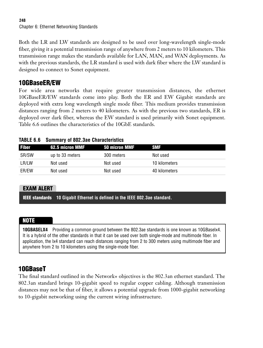Both the LR and LW standards are designed to be used over long-wavelength single-mode fiber, giving it a potential transmission range of anywhere from 2 meters to 10 kilometers. This transmission range makes the standards available for LAN, MAN, and WAN deployments. As with the previous standards, the LR standard is used with dark fiber where the LW standard is designed to connect to Sonet equipment.

### **10GBaseER/EW**

For wide area networks that require greater transmission distances, the ethernet 10GBaseER/EW standards come into play. Both the ER and EW Gigabit standards are deployed with extra long wavelength single mode fiber. This medium provides transmission distances ranging from 2 meters to 40 kilometers. As with the previous two standards, ER is deployed over dark fiber, whereas the EW standard is used primarily with Sonet equipment. Table 6.6 outlines the characteristics of the 10GbE standards.

| INDLL V.V    | <b>UNIMITY OF UULTUGE UNIMITY OF LIGHT</b> |               |               |  |
|--------------|--------------------------------------------|---------------|---------------|--|
| <b>Fiber</b> | 62.5 micron MMF                            | 50 micron MMF | SMF           |  |
| SR/SW        | up to 33 meters                            | 300 meters    | Not used      |  |
| LR/LW        | Not used                                   | Not used      | 10 kilometers |  |
| ER/EW        | Not used                                   | Not used      | 40 kilometers |  |
|              |                                            |               |               |  |

**TABLE 6.6 Summary of 802.3ae Characteristics**

### **EXAM ALERT**

**IEEE standards 10 Gigabit Ethernet is defined in the IEEE 802.3ae standard.**

#### **NOTE**

**10GBASELX4** Providing a common ground between the 802.3ae standards is one known as 10GBaselx4. It is a hybrid of the other standards in that it can be used over both single-mode and multimode fiber. In application, the lx4 standard can reach distances ranging from 2 to 300 meters using multimode fiber and anywhere from 2 to 10 kilometers using the single-mode fiber.

## **10GBaseT**

The final standard outlined in the Network+ objectives is the 802.3an ethernet standard. The 802.3an standard brings 10-gigabit speed to regular copper cabling. Although transmission distances may not be that of fiber, it allows a potential upgrade from 1000-gigabit networking to 10-gigabit networking using the current wiring infrastructure.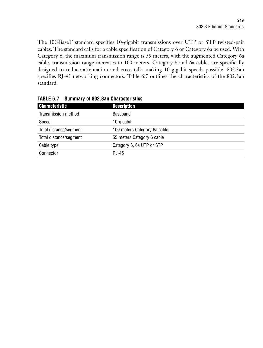The 10GBaseT standard specifies 10-gigabit transmissions over UTP or STP twisted-pair cables. The standard calls for a cable specification of Category 6 or Category 6a be used. With Category 6, the maximum transmission range is 55 meters, with the augmented Category 6a cable, transmission range increases to 100 meters. Category 6 and 6a cables are specifically designed to reduce attenuation and cross talk, making 10-gigabit speeds possible. 802.3an specifies RJ-45 networking connectors. Table 6.7 outlines the characteristics of the 802.3an standard.

| <b>Characteristic</b>  | <b>Description</b>           |
|------------------------|------------------------------|
| Transmission method    | Baseband                     |
| Speed                  | 10-gigabit                   |
| Total distance/segment | 100 meters Category 6a cable |
| Total distance/segment | 55 meters Category 6 cable   |
| Cable type             | Category 6, 6a UTP or STP    |
| Connector              | RJ-45                        |

**TABLE 6.7 Summary of 802.3an Characteristics**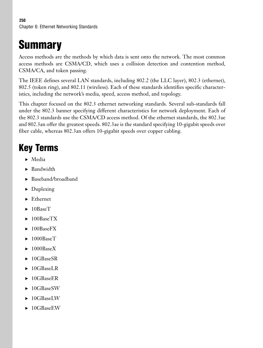#### **250** Chapter 6: Ethernet Networking Standards

# **Summary**

Access methods are the methods by which data is sent onto the network. The most common access methods are CSMA/CD, which uses a collision detection and contention method, CSMA/CA, and token passing.

The IEEE defines several LAN standards, including 802.2 (the LLC layer), 802.3 (ethernet), 802.5 (token ring), and 802.11 (wireless). Each of these standards identifies specific characteristics, including the network's media, speed, access method, and topology.

This chapter focused on the 802.3 ethernet networking standards. Several sub-standards fall under the 802.3 banner specifying different characteristics for network deployment. Each of the 802.3 standards use the CSMA/CD access method. Of the ethernet standards, the 802.3ae and 802.3an offer the greatest speeds. 802.3ae is the standard specifying 10-gigabit speeds over fiber cable, whereas 802.3an offers 10-gigabit speeds over copper cabling.

## **Key Terms**

- $\blacktriangleright$  Media
- **E**. Bandwidth
- . Baseband/broadband
- $\blacktriangleright$  Duplexing
- **Ethernet**
- $\blacktriangleright$  10BaseT
- $\blacktriangleright$  100BaseTX
- $\blacktriangleright$  100BaseFX
- $\blacktriangleright$  1000BaseT
- $\blacktriangleright$  1000BaseX
- $\blacktriangleright$  10GBaseSR
- $\blacktriangleright$  10GBaseLR
- $\blacktriangleright$  10GBaseER
- ▶ 10GBaseSW
- $\blacktriangleright$  10GBaseLW
- $\blacktriangleright$  10GBaseEW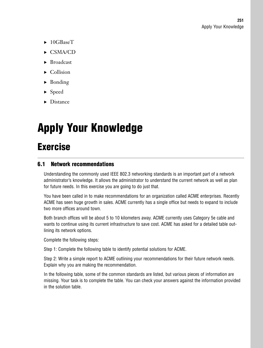- $\blacktriangleright$  10GBaseT
- $\triangle$  CSMA/CD
- **E** Broadcast
- $\blacktriangleright$  Collision
- $\blacktriangleright$  Bonding
- ▶ Speed
- **Distance**

# **Apply Your Knowledge**

## **Exercise**

### **6.1 Network recommendations**

Understanding the commonly used IEEE 802.3 networking standards is an important part of a network administrator's knowledge. It allows the administrator to understand the current network as well as plan for future needs. In this exercise you are going to do just that.

You have been called in to make recommendations for an organization called ACME enterprises. Recently ACME has seen huge growth in sales. ACME currently has a single office but needs to expand to include two more offices around town.

Both branch offices will be about 5 to 10 kilometers away. ACME currently uses Category 5e cable and wants to continue using its current infrastructure to save cost. ACME has asked for a detailed table outlining its network options.

Complete the following steps:

Step 1: Complete the following table to identify potential solutions for ACME.

Step 2: Write a simple report to ACME outlining your recommendations for their future network needs. Explain why you are making the recommendation.

In the following table, some of the common standards are listed, but various pieces of information are missing. Your task is to complete the table. You can check your answers against the information provided in the solution table.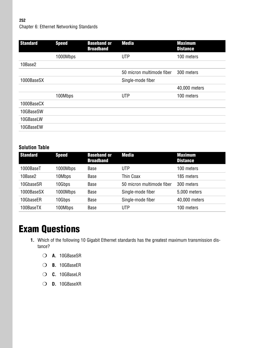Chapter 6: Ethernet Networking Standards

| <b>Standard</b> | <b>Speed</b> | <b>Baseband or</b><br><b>Broadband</b> | <b>Media</b>              | <b>Maximum</b><br><b>Distance</b> |
|-----------------|--------------|----------------------------------------|---------------------------|-----------------------------------|
|                 | 1000Mbps     |                                        | <b>UTP</b>                | 100 meters                        |
| 10Base2         |              |                                        |                           |                                   |
|                 |              |                                        | 50 micron multimode fiber | 300 meters                        |
| 1000BaseSX      |              |                                        | Single-mode fiber         |                                   |
|                 |              |                                        |                           | 40,000 meters                     |
|                 | 100Mbps      |                                        | <b>UTP</b>                | 100 meters                        |
| 1000BaseCX      |              |                                        |                           |                                   |
| 10GBaseSW       |              |                                        |                           |                                   |
| 10GBaseLW       |              |                                        |                           |                                   |
| 10GBaseEW       |              |                                        |                           |                                   |

#### **Solution Table**

| <b>Standard</b> | <b>Speed</b> | <b>Baseband or</b><br><b>Broadband</b> | Media                     | <b>Maximum</b><br><b>Distance</b> |
|-----------------|--------------|----------------------------------------|---------------------------|-----------------------------------|
| 1000BaseT       | 1000Mbps     | Base                                   | UTP                       | 100 meters                        |
| 10Base2         | 10Mbps       | Base                                   | Thin Coax                 | 185 meters                        |
| 10GbaseSR       | 10Gbps       | Base                                   | 50 micron multimode fiber | 300 meters                        |
| 1000BaseSX      | 1000Mbps     | Base                                   | Single-mode fiber         | 5.000 meters                      |
| 10GbaseER       | 10Gbps       | Base                                   | Single-mode fiber         | 40,000 meters                     |
| 100BaseTX       | 100Mbps      | Base                                   | UTP                       | 100 meters                        |

## **Exam Questions**

- **1.** Which of the following 10 Gigabit Ethernet standards has the greatest maximum transmission distance?
	- ❍ **A.** 10GBaseSR
	- ❍ **B.** 10GBaseER
	- ❍ **C.** 10GBaseLR
	- ❍ **D.** 10GBaseXR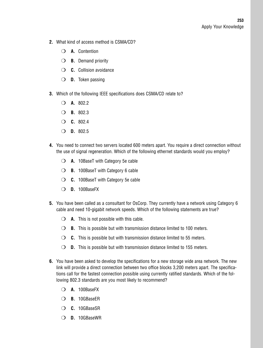- **2.** What kind of access method is CSMA/CD?
	- ❍ **A.** Contention
	- ❍ **B.** Demand priority
	- ❍ **C.** Collision avoidance
	- ❍ **D.** Token passing
- **3.** Which of the following IEEE specifications does CSMA/CD relate to?
	- ❍ **A.** 802.2
	- ❍ **B.** 802.3
	- ❍ **C.** 802.4
	- ❍ **D.** 802.5
- **4.** You need to connect two servers located 600 meters apart. You require a direct connection without the use of signal regeneration. Which of the following ethernet standards would you employ?
	- ❍ **A.** 10BaseT with Category 5e cable
	- ❍ **B.** 100BaseT with Category 6 cable
	- ❍ **C.** 100BaseT with Category 5e cable
	- ❍ **D.** 100BaseFX
- **5.** You have been called as a consultant for OsCorp. They currently have a network using Category 6 cable and need 10-gigabit network speeds. Which of the following statements are true?
	- ❍ **A.** This is not possible with this cable.
	- ❍ **B.** This is possible but with transmission distance limited to 100 meters.
	- ❍ **C.** This is possible but with transmission distance limited to 55 meters.
	- ❍ **D.** This is possible but with transmission distance limited to 155 meters.
- **6.** You have been asked to develop the specifications for a new storage wide area network. The new link will provide a direct connection between two office blocks 3,200 meters apart. The specifications call for the fastest connection possible using currently ratified standards. Which of the following 802.3 standards are you most likely to recommend?
	- ❍ **A.** 100BaseFX
	- ❍ **B.** 10GBaseER
	- ❍ **C.** 10GBaseSR
	- ❍ **D.** 10GBaseWR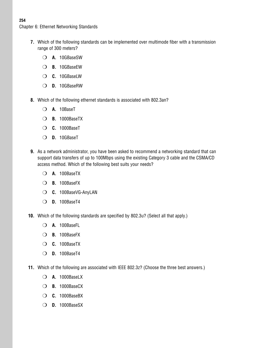Chapter 6: Ethernet Networking Standards

- **7.** Which of the following standards can be implemented over multimode fiber with a transmission range of 300 meters?
	- ❍ **A.** 10GBaseSW
	- ❍ **B.** 10GBaseEW
	- ❍ **C.** 10GBaseLW
	- ❍ **D.** 10GBaseRW
- **8.** Which of the following ethernet standards is associated with 802.3an?
	- ❍ **A.** 10BaseT
	- ❍ **B.** 1000BaseTX
	- ❍ **C.** 1000BaseT
	- ❍ **D.** 10GBaseT
- **9.** As a network administrator, you have been asked to recommend a networking standard that can support data transfers of up to 100Mbps using the existing Category 3 cable and the CSMA/CD access method. Which of the following best suits your needs?
	- ❍ **A.** 100BaseTX
	- ❍ **B.** 100BaseFX
	- ❍ **C.** 100BaseVG-AnyLAN
	- ❍ **D.** 100BaseT4
- **10.** Which of the following standards are specified by 802.3u? (Select all that apply.)
	- ❍ **A.** 100BaseFL
	- ❍ **B.** 100BaseFX
	- ❍ **C.** 100BaseTX
	- ❍ **D.** 100BaseT4
- **11.** Which of the following are associated with IEEE 802.3z? (Choose the three best answers.)
	- ❍ **A.** 1000BaseLX
	- ❍ **B.** 1000BaseCX
	- ❍ **C.** 1000BaseBX
	- ❍ **D.** 1000BaseSX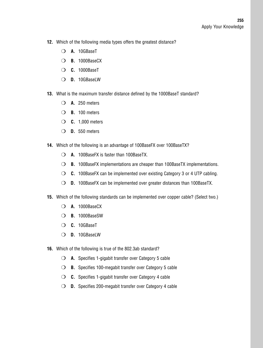- **12.** Which of the following media types offers the greatest distance?
	- ❍ **A.** 10GBaseT
	- ❍ **B.** 1000BaseCX
	- ❍ **C.** 1000BaseT
	- ❍ **D.** 10GBaseLW
- **13.** What is the maximum transfer distance defined by the 1000BaseT standard?
	- ❍ **A.** 250 meters
	- ❍ **B.** 100 meters
	- ❍ **C.** 1,000 meters
	- ❍ **D.** 550 meters
- **14.** Which of the following is an advantage of 100BaseFX over 100BaseTX?
	- ❍ **A.** 100BaseFX is faster than 100BaseTX.
	- ❍ **B.** 100BaseFX implementations are cheaper than 100BaseTX implementations.
	- ❍ **C.** 100BaseFX can be implemented over existing Category 3 or 4 UTP cabling.
	- ❍ **D.** 100BaseFX can be implemented over greater distances than 100BaseTX.
- **15.** Which of the following standards can be implemented over copper cable? (Select two.)
	- ❍ **A.** 1000BaseCX
	- ❍ **B.** 1000BaseSW
	- ❍ **C.** 10GBaseT
	- ❍ **D.** 10GBaseLW
- **16.** Which of the following is true of the 802.3ab standard?
	- ❍ **A.** Specifies 1-gigabit transfer over Category 5 cable
	- ❍ **B.** Specifies 100-megabit transfer over Category 5 cable
	- ❍ **C.** Specifies 1-gigabit transfer over Category 4 cable
	- ❍ **D.** Specifies 200-megabit transfer over Category 4 cable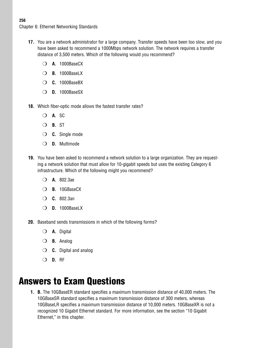Chapter 6: Ethernet Networking Standards

- **17.** You are a network administrator for a large company. Transfer speeds have been too slow, and you have been asked to recommend a 1000Mbps network solution. The network requires a transfer distance of 3,500 meters. Which of the following would you recommend?
	- ❍ **A.** 1000BaseCX
	- ❍ **B.** 1000BaseLX
	- ❍ **C.** 1000BaseBX
	- ❍ **D.** 1000BaseSX
- **18.** Which fiber-optic mode allows the fastest transfer rates?
	- ❍ **A.** SC
	- ❍ **B.** ST
	- ❍ **C.** Single mode
	- ❍ **D.** Multimode
- **19.** You have been asked to recommend a network solution to a large organization. They are requesting a network solution that must allow for 10-gigabit speeds but uses the existing Category 6 infrastructure. Which of the following might you recommend?
	- ❍ **A.** 802.3ae
	- ❍ **B.** 10GBaseCX
	- ❍ **C.** 802.3an
	- ❍ **D.** 1000BaseLX
- **20.** Baseband sends transmissions in which of the following forms?
	- ❍ **A.** Digital
	- ❍ **B.** Analog
	- ❍ **C.** Digital and analog
	- ❍ **D.** RF

## **Answers to Exam Questions**

**1. B.** The 10GBaseER standard specifies a maximum transmission distance of 40,000 meters. The 10GBaseSR standard specifies a maximum transmission distance of 300 meters, whereas 10GBaseLR specifies a maximum transmission distance of 10,000 meters. 10GBaseXR is not a recognized 10 Gigabit Ethernet standard. For more information, see the section "10 Gigabit Ethernet," in this chapter.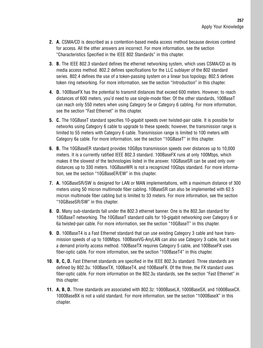- **2. A.** CSMA/CD is described as a contention-based media access method because devices contend for access. All the other answers are incorrect. For more information, see the section "Characteristics Specified in the IEEE 802 Standards" in this chapter.
- **3. B.** The IEEE 802.3 standard defines the ethernet networking system, which uses CSMA/CD as its media access method. 802.2 defines specifications for the LLC sublayer of the 802 standard series. 802.4 defines the use of a token-passing system on a linear bus topology. 802.5 defines token ring networking. For more information, see the section "Introduction" in this chapter.
- **4. D.** 100BaseFX has the potential to transmit distances that exceed 600 meters. However, to reach distances of 600 meters, you'd need to use single-mode fiber. Of the other standards, 100BaseT can reach only 550 meters when using Category 5e or Category 6 cabling. For more information, see the section "Fast Ethernet" in this chapter.
- **5. C.** The 10GBaseT standard specifies 10-gigabit speeds over twisted-pair cable. It is possible for networks using Category 6 cable to upgrade to these speeds; however, the transmission range is limited to 55 meters with Category 6 cable. Transmission range is limited to 100 meters with Category 6a cable. For more information, see the section "10GBaseT" in this chapter.
- **6. B.** The 10GBaseER standard provides 10GBps transmission speeds over distances up to 10,000 meters. It is a currently ratified IEEE 802.3 standard. 100BaseFX runs at only 100Mbps, which makes it the slowest of the technologies listed in the answer. 10GBaseSR can be used only over distances up to 330 meters. 10GBaseWR is not a recognized 10Gbps standard. For more information, see the section "10GBaseER/EW" in this chapter.
- **7.** A. 10GBaseSR/SW is designed for LAN or MAN implementations, with a maximum distance of 300 meters using 50 micron multimode fiber cabling. 10BaseSR can also be implemented with 62.5 micron multimode fiber cabling but is limited to 33 meters. For more information, see the section "10GBaseSR/SW" in this chapter.
- **8. D.** Many sub-standards fall under the 802.3 ethernet banner. One is the 802.3an standard for 10GBaseT networking. The 10GBaseT standard calls for 10-gigabit networking over Category 6 or 6a twisted-pair cable. For more information, see the section "10GBaseT" in this chapter.
- **9. D.** 100BaseT4 is a Fast Ethernet standard that can use existing Category 3 cable and have transmission speeds of up to 100Mbps. 100BaseVG-AnyLAN can also use Category 3 cable, but it uses a demand priority access method. 100BaseTX requires Category 5 cable, and 100BaseFX uses fiber-optic cable. For more information, see the section "100BaseT4" in this chapter.
- **10. B, C, D.** Fast Ethernet standards are specified in the IEEE 802.3u standard. Three standards are defined by 802.3u: 100BaseTX, 100BaseT4, and 100BaseFX. Of the three, the FX standard uses fiber-optic cable. For more information on the 802.3u standards, see the section "Fast Ethernet" in this chapter.
- **11. A, B, D.** Three standards are associated with 802.3z: 1000BaseLX, 1000BaseSX, and 1000BaseCX. 1000BaseBX is not a valid standard. For more information, see the section "1000BaseX" in this chapter.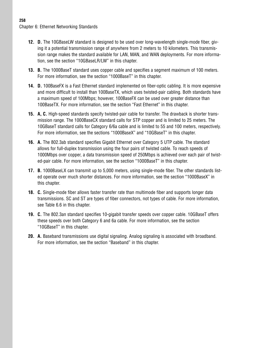- **12. D.** The 10GBaseLW standard is designed to be used over long-wavelength single-mode fiber, giving it a potential transmission range of anywhere from 2 meters to 10 kilometers. This transmission range makes the standard available for LAN, MAN, and WAN deployments. For more information, see the section "10GBaseLR/LW" in this chapter.
- **13. B.** The 1000BaseT standard uses copper cable and specifies a segment maximum of 100 meters. For more information, see the section "1000BaseT" in this chapter.
- **14. D.** 100BaseFX is a Fast Ethernet standard implemented on fiber-optic cabling. It is more expensive and more difficult to install than 100BaseTX, which uses twisted-pair cabling. Both standards have a maximum speed of 100Mbps; however, 100BaseFX can be used over greater distance than 100BaseTX. For more information, see the section "Fast Ethernet" in this chapter.
- **15. A, C.** High-speed standards specify twisted-pair cable for transfer. The drawback is shorter transmission range. The 1000BaseCX standard calls for STP copper and is limited to 25 meters. The 10GBaseT standard calls for Category 6/6a cable and is limited to 55 and 100 meters, respectively. For more information, see the sections "1000BaseX" and "10GBaseT" in this chapter.
- **16. A.** The 802.3ab standard specifies Gigabit Ethernet over Category 5 UTP cable. The standard allows for full-duplex transmission using the four pairs of twisted cable. To reach speeds of 1000Mbps over copper, a data transmission speed of 250Mbps is achieved over each pair of twisted-pair cable. For more information, see the section "1000BaseT" in this chapter.
- **17. B.** 1000BaseLX can transmit up to 5,000 meters, using single-mode fiber. The other standards listed operate over much shorter distances. For more information, see the section "1000BaseX" in this chapter.
- **18. C.** Single-mode fiber allows faster transfer rate than multimode fiber and supports longer data transmissions. SC and ST are types of fiber connectors, not types of cable. For more information, see Table 6.6 in this chapter.
- **19. C.** The 802.3an standard specifies 10-gigabit transfer speeds over copper cable. 10GBaseT offers these speeds over both Category 6 and 6a cable. For more information, see the section "10GBaseT" in this chapter.
- **20. A.** Baseband transmissions use digital signaling. Analog signaling is associated with broadband. For more information, see the section "Baseband" in this chapter.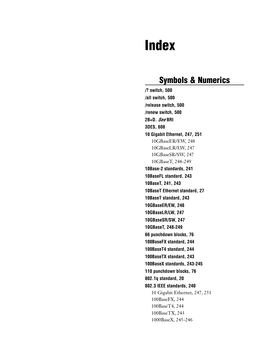# **Index**

## **Symbols & Numerics**

**/? switch, 500 /all switch, 500 /release switch, 500 /renew switch, 500 2B+D. See BRI 3DES, 608 10 Gigabit Ethernet, 247, 251** 10GBaseER/EW, 248 10GBaseLR/LW, 247 10GBaseSR/SW, 247 10GBaseT, 248-249 **10Base-2 standards, 241 10BaseFL standard, 243 10BaseT, 241, 243 10BaseT Ethernet standard, 27 10BaseT standard, 243 10GBaseER/EW, 248 10GBaseLR/LW, 247 10GBaseSR/SW, 247 10GBaseT, 248-249 66 punchdown blocks, 76 100BaseFX standard, 244 100BaseT4 standard, 244 100BaseTX standard, 243 100BaseX standards, 243-245 110 punchdown blocks, 76 802.1q standard, 20 802.3 IEEE standards, 240** 10 Gigabit Ethernet, 247, 251 100BaseFX, 244 100BaseT4, 244 100BaseTX, 243 1000BaseX, 245-246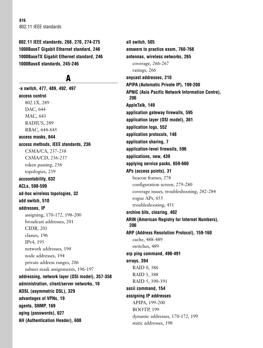**816** 802.11 IEEE standards

**802.11 IEEE standards, 268, 270, 274-275 1000BaseT Gigabit Ethernet standard, 246 1000BaseTX Gigabit Ethernet standard, 246 1000BaseX standards, 245-246**

### **A**

**-a switch, 477, 489, 492, 497 access control** 802.1X, 289 DAC, 644 MAC, 643 RADIUS, 289 RBAC, 644-645 **access masks, 644 access methods, IEEE standards, 236** CSMA/CA, 237-238 CSMA/CD, 236-237 token passing, 238 topologies, 239 **accountability, 632 ACLs, 598-599 ad-hoc wireless topologies, 32 add switch, 510 addresses, IP** assigning, 170-172, 198-200 broadcast addresses, 201 CIDR, 201 classes, 196 IPv4, 195 network addresses, 194 node addresses, 194 private address ranges, 206 subnet mask assignments, 196-197 **addressing, network layer (OSI model), 357-358 administration, client/server networks, 16 ADSL (asymmetric DSL), 329 advantages of VPNs, 19 agents, SNMP, 169 aging (passwords), 627 AH (Authentication Header), 608**

**all switch, 505 answers to practice exam, 760-768 antennas, wireless networks, 265** coverage, 266-267 ratings, 266 **anycast addresses, 210 APIPA (Automatic Private IP), 199-200 APNIC (Asia Pacific Network Information Centre), 206 AppleTalk, 149 application gateway firewalls, 595 application layer (OSI model), 361 application logs, 552 application protocols, 148 application sharing, 7 application-level firewalls, 596 applications, new, 439 applying service packs, 659-660 APs (access points), 31** beacon frames, 278 configuration screen, 279-280 coverage issues, troubleshooting, 282-284 rogue APs, 655 troubleshooting, 451 **archive bits, clearing, 402 ARIN (American Registry for Internet Numbers), 206 ARP (Address Resolution Protocol), 159-160** cache, 488-489 switches, 489 **arp ping command, 490-491 arrays, 394** RAID 0, 386 RAID 1, 388 RAID 5, 390-391 **ascii command, 154 assigning IP addresses** APIPA, 199-200 BOOTP, 199 dynamic addresses, 170-172, 199 static addresses, 198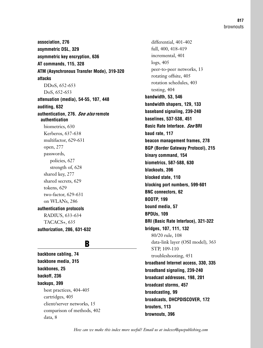**association, 276 asymmetric DSL, 329 asymmetric key encryption, 636 AT commands, 115, 328 ATM (Asynchronous Transfer Mode), 319-320 attacks** DDoS, 652-653 DoS, 652-653 **attenuation (media), 54-55, 107, 448 auditing, 632 authentication, 276. See also remote authentication** biometrics, 630 Kerberos, 637-638 multifactor, 629-631 open, 277 passwords, policies, 627 strength of, 628 shared key, 277 shared secrets, 629 tokens, 629 two-factor, 629-631 on WLANs, 286 **authentication protocols** RADIUS, 633-634 TACACS+, 635 **authorization, 286, 631-632**

## **B**

**backbone cabling, 74 backbone media, 315 backbones, 25 backoff, 236 backups, 399** best practices, 404-405 cartridges, 405 client/server networks, 15 comparison of methods, 402 data, 8

differential, 401-402 full, 400, 418-419 incremental, 401 logs, 405 peer-to-peer networks, 13 rotating offsite, 405 rotation schedules, 403 testing, 404 **bandwidth, 53, 546 bandwidth shapers, 129, 133 baseband signaling, 239-240 baselines, 537-538, 451 Basic Rate Interface. See BRI baud rate, 117 beacon management frames, 278 BGP (Border Gateway Protocol), 215 binary command, 154 biometrics, 587-588, 630 blackouts, 396 blocked state, 110 blocking port numbers, 599-601 BNC connectors, 62 BOOTP, 199 bound media, 57 BPDUs, 109 BRI (Basic Rate Interface), 321-322 bridges, 107, 111, 132** 80/20 rule, 108 data-link layer (OSI model), 363 STP, 109-110 troubleshooting, 451 **broadband Internet access, 330, 335 broadband signaling, 239-240 broadcast addresses, 198, 201 broadcast storms, 457 broadcasting, 99 broadcasts, DHCPDISCOVER, 172 brouters, 113 brownouts, 396**

*How can we make this index more useful? Email us at indexes@quepublishing.com*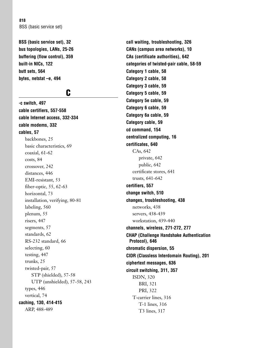**BSS (basic service set), 32 bus topologies, LANs, 25-26 buffering (flow control), 359 built-in NICs, 122 butt sets, 564 bytes, netstat –e, 494**

### **C**

**-c switch, 497 cable certifiers, 557-558 cable Internet access, 332-334 cable modems, 332 cables, 57** backbones, 25 basic characteristics, 69 coaxial, 61-62 costs, 84 crossover, 242 distances, 446 EMI-resistant, 53 fiber-optic, 55, 62-63 horizontal, 73 installation, verifying, 80-81 labeling, 560 plenum, 55 risers, 447 segments, 57 standards, 62 RS-232 standard, 66 selecting, 60 testing, 447 trunks, 25 twisted-pair, 57 STP (shielded), 57-58 UTP (unshielded), 57-58, 243 types, 446 vertical, 74 **caching, 130, 414-415** ARP, 488-489

**call waiting, troubleshooting, 326 CANs (campus area networks), 10 CAs (certificate authorities), 642 categories of twisted-pair cable, 58-59 Category 1 cable, 58 Category 2 cable, 58 Category 3 cable, 59 Category 5 cable, 59 Category 5e cable, 59 Category 6 cable, 59 Category 6a cable, 59 Category cable, 59 cd command, 154 centralized computing, 16 certificates, 640** CAs, 642 private, 642 public, 642 certificate stores, 641 trusts, 641-642 **certifiers, 557 change switch, 510 changes, troubleshooting, 438** networks, 438 servers, 438-439 workstation, 439-440 **channels, wireless, 271-272, 277 CHAP (Challenge Handshake Authentication Protocol), 646 chromatic dispersion, 55 CIDR (Classless Interdomain Routing), 201 ciphertext messages, 636 circuit switching, 311, 357** ISDN, 320 BRI, 321 PRI, 322 T-carrier lines, 316 T-1 lines, 316 T3 lines, 317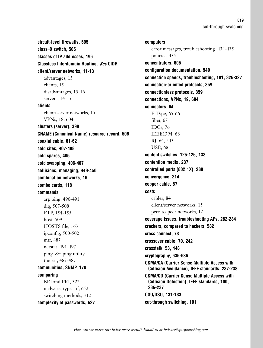**circuit-level firewalls, 595 class=X switch, 505 classes of IP addresses, 196 Classless Interdomain Routing. See CIDR client/server networks, 11-13** advantages, 15 clients, 15 disadvantages, 15-16 servers, 14-15 **clients** client/server networks, 15 VPNs, 18, 604 **clusters (server), 398 CNAME (Canonical Name) resource record, 506 coaxial cable, 61-62 cold sites, 407-408 cold spares, 405 cold swapping, 406-407 collisions, managing, 449-450 combination networks, 16 combo cards, 118 commands** arp ping, 490-491 dig, 507-508 FTP, 154-155 host, 509 HOSTS file, 163 ipconfig, 500-502 mtr, 487 netstat, 491-497 ping. *See* ping utility tracert, 482-487 **communities, SNMP, 170 comparing** BRI and PRI, 322 malware, types of, 652 switching methods, 312 **complexity of passwords, 627**

**computers** error messages, troubleshooting, 434-435 policies, 435 **concentrators, 605 configuration documentation, 540 connection speeds, troubleshooting, 101, 326-327 connection-oriented protocols, 359 connectionless protocols, 359 connections, VPNs, 19, 604 connectors, 64** F-Type, 65-66 fiber, 67 IDCs, 76 IEEE1394, 68 RJ, 64, 243 USB, 68 **content switches, 125-126, 133 contention media, 237 controlled ports (802.1X), 289 convergence, 214 copper cable, 57 costs** cables, 84 client/server networks, 15 peer-to-peer networks, 12 **coverage issues, troubleshooting APs, 282-284 crackers, compared to hackers, 582 cross connect, 73 crossover cable, 70, 242 crosstalk, 53, 448 cryptography, 635-636 CSMA/CA (Carrier Sense Multiple Access with Collision Avoidance), IEEE standards, 237-238 CSMA/CD (Carrier Sense Multiple Access with Collision Detection), IEEE standards, 100, 236-237 CSU/DSU, 131-133 cut-through switching, 101**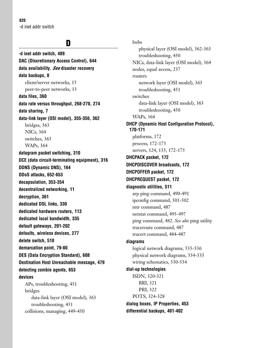### **D**

**-d inet addr switch, 489 DAC (Discretionary Access Control), 644 data availability. See disaster recovery data backups, 8** client/server networks, 15 peer-to-peer networks, 13 **data files, 360 data rate versus throughput, 268-270, 274 data sharing, 7 data-link layer (OSI model), 355-356, 362** bridges, 363 NICs, 364 switches, 363 WAPs, 364 **datagram packet switching, 310 DCE (data circuit-terminating equipment), 316 DDNS (Dynamic DNS), 164 DDoS attacks, 652-653 decapsulation, 353-354 decentralized networking, 11 decryption, 361 dedicated DSL links, 330 dedicated hardware routers, 113 dedicated local bandwidth, 335 default gateways, 201-202 defaults, wireless devices, 277 delete switch, 510 demarcation point, 79-80 DES (Data Encryption Standard), 608 Destination Host Unreachable message, 479 detecting zombie agents, 653 devices** APs, troubleshooting, 451 bridges data-link layer (OSI model), 363 troubleshooting, 451 collisions, managing, 449-450

hubs physical layer (OSI model), 362-363 troubleshooting, 450 NICs, data-link layer (OSI model), 364 nodes, equal access, 237 routers network layer (OSI model), 363 troubleshooting, 451 switches data-link layer (OSI model), 363 troubleshooting, 450 WAPs, 364 **DHCP (Dynamic Host Configuration Protocol), 170-171** platforms, 172 process, 172-173 servers, 124, 133, 172-173 **DHCPACK packet, 172 DHCPDISCOVER broadcasts, 172 DHCPOFFER packet, 172 DHCPREQUEST packet, 172 diagnostic utilities, 511** arp ping command, 490-491 ipconfig command, 501-502 mtr command, 487 netstat command, 495-497 ping command, 482. *See also* ping utility traceroute command, 487 tracert command, 484-487 **diagrams** logical network diagrams, 535-536 physical network diagrams, 534-535 wiring schematics, 530-534 **dial-up technologies** ISDN, 320-321 BRI, 321 PRI, 322 POTS, 324-328 **dialog boxes, IP Properties, 453 differential backups, 401-402**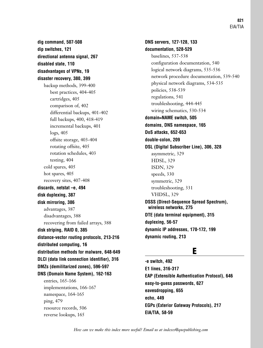**dig command, 507-508 dip switches, 121 directional antenna signal, 267 disabled state, 110 disadvantages of VPNs, 19 disaster recovery, 380, 399** backup methods, 399-400 best practices, 404-405 cartridges, 405 comparison of, 402 differential backups, 401-402 full backups, 400, 418-419 incremental backups, 401 logs, 405 offsite storage, 403-404 rotating offsite, 405 rotation schedules, 403 testing, 404 cold spares, 405 hot spares, 405 recovery sites, 407-408 **discards, netstat –e, 494 disk duplexing, 387 disk mirroring, 386** advantages, 387 disadvantages, 388 recovering from failed arrays, 388 **disk striping, RAID 0, 385 distance-vector routing protocols, 213-216 distributed computing, 16 distribution methods for malware, 648-649 DLCI (data link connection identifier), 316 DMZs (demilitarized zones), 596-597 DNS (Domain Name System), 162-163** entries, 165-166 implementations, 166-167 namespace, 164-165 ping, 479 resource records, 506 reverse lookups, 165

**DNS servers, 127-128, 133 documentation, 528-529** baselines, 537-538 configuration documentation, 540 logical network diagrams, 535-536 network procedure documentation, 539-540 physical network diagrams, 534-535 policies, 538-539 regulations, 541 troubleshooting, 444-445 wiring schematics, 530-534 **domain=NAME switch, 505 domains, DNS namespace, 165 DoS attacks, 652-653 double-colon, 209 DSL (Digital Subscriber Line), 306, 328** asymmetric, 329 HDSL, 329 ISDN, 329 speeds, 330 symmetric, 329 troubleshooting, 331 VHDSL, 329 **DSSS (Direct-Sequence Spread Spectrum), wireless networks, 275 DTE (data terminal equipment), 315 duplexing, 56-57 dynamic IP addresses, 170-172, 199 dynamic routing, 213**

### **E**

**-e switch, 492 E1 lines, 316-317 EAP (Extensible Authentication Protocol), 646 easy-to-guess passwords, 627 eavesdropping, 655 echo, 449 EGPs (Exterior Gateway Protocols), 217 EIA/TIA, 58-59**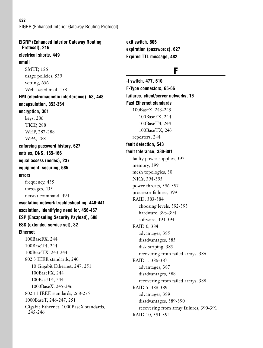**EIGRP (Enhanced Interior Gateway Routing Protocol), 216 electrical shorts, 449 email** SMTP, 156 usage policies, 539 vetting, 656 Web-based mail, 158 **EMI (electromagnetic interference), 53, 448 encapsulation, 353-354 encryption, 361** keys, 286 TKIP, 288 WEP, 287-288 WPA, 288 **enforcing password history, 627 entries, DNS, 165-166 equal access (nodes), 237 equipment, securing, 585 errors** frequency, 435 messages, 435 netstat command, 494 **escalating network troubleshooting, 440-441 escalation, identifying need for, 456-457 ESP (Encapsuling Security Payload), 608 ESS (extended service set), 32 Ethernet** 100BaseFX, 244 100BaseT4, 244 100BaseTX, 243-244 802.3 IEEE standards, 240 10 Gigabit Ethernet, 247, 251 100BaseFX, 244 100BaseT4, 244 1000BaseX, 245-246 802.11 IEEE standards, 268-275 1000BaseT, 246-247, 251 Gigabit Ethernet, 1000BaseX standards, 245-246

**exit switch, 505 expiration (passwords), 627 Expired TTL message, 482**

### **F**

**-f switch, 477, 510 F-Type connectors, 65-66 failures, client/server networks, 16 Fast Ethernet standards** 100BaseX, 243-245 100BaseFX, 244 100BaseT4, 244 100BaseTX, 243 repeaters, 244 **fault detection, 543 fault tolerance, 380-381** faulty power supplies, 397 memory, 399 mesh topologies, 30 NICs, 394-395 power threats, 396-397 processor failures, 399 RAID, 383-384 choosing levels, 392-393 hardware, 393-394 software, 393-394 RAID 0, 384 advantages, 385 disadvantages, 385 disk striping, 385 recovering from failed arrays, 386 RAID 1, 386-387 advantages, 387 disadvantages, 388 recovering from failed arrays, 388 RAID 5, 388-389 advantages, 389 disadvantages, 389-390 recovering from array failures, 390-391 RAID 10, 391-392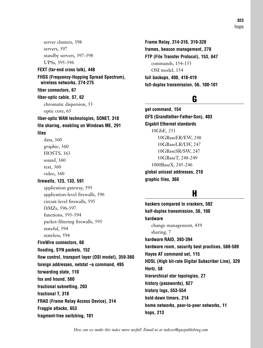hops **823**

server clusters, 398 servers, 397 standby servers, 397-398 UPSs, 395-396 **FEXT (far-end cross talk), 448 FHSS (Frequency-Hopping Spread Spectrum), wireless networks, 274-275 fiber connectors, 67 fiber-optic cable, 57, 62** chromatic dispersion, 55 optic core, 63 **fiber-optic WAN technologies, SONET, 318 file sharing, enabling on Windows ME, 291 files** data, 360 graphic, 360 HOSTS, 163 sound, 360 text, 360 video, 360 **firewalls, 123, 133, 591** application gateway, 595 application-level firewalls, 596 circuit-level firewalls, 595 DMZs, 596-597 functions, 593-594 packet-filtering firewalls, 595 stateful, 594 stateless, 594 **FireWire connectors, 68 flooding, SYN packets, 152 flow control, transport layer (OSI model), 359-360 foreign addresses, netstat –a command, 495 forwarding state, 110 fox and hound, 560 fractional subnetting, 203 fractional T, 318 FRAD (Frame Relay Access Device), 314**

**Fraggle attacks, 653**

**fragment-free switching, 101**

**Frame Relay, 314-316, 319-320 frames, beacon management, 278 FTP (File Transfer Protocol), 153, 647** commands, 154-155 OSI model, 154 **full backups, 400, 418-419 full-duplex transmission, 56, 100-101**

### **G**

**get command, 154 GFS (Grandfather-Father-Son), 403 Gigabit Ethernet standards** 10GbE, 251 10GBaseER/EW, 248 10GBaseLR/LW, 247 10GBaseSR/SW, 247 10GBaseT, 248-249 1000BaseX, 245-246 **global unicast addresses, 210 graphic files, 360**

## **H**

**hackers compared to crackers, 582 half-duplex transmission, 56, 100 hardware** change management, 439 sharing, 7 **hardware RAID, 393-394 hardware room, security best practices, 588-589 Hayes AT command set, 115 HDSL (High bit-rate Digital Subscriber Line), 329 Hertz, 58 hierarchical star topologies, 27 history (passwords), 627 history logs, 553-554 hold-down timers, 214 home networks, peer-to-peer networks, 11 hops, 213**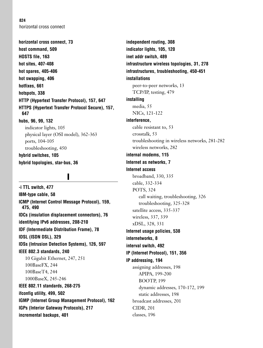**horizontal cross connect, 73 host command, 509 HOSTS file, 163 hot sites, 407-408 hot spares, 405-406 hot swapping, 406 hotfixes, 661 hotspots, 338 HTTP (Hypertext Transfer Protocol), 157, 647 HTTPS (Hypertext Transfer Protocol Secure), 157, 647 hubs, 96, 99, 132** indicator lights, 105 physical layer (OSI model), 362-363 ports, 104-105

troubleshooting, 450 **hybrid switches, 105 hybrid topologies, star-bus, 36**

## **I**

**-i TTL switch, 477 IBM-type cable, 58 ICMP (Internet Control Message Protocol), 159, 475, 490 IDCs (insulation displacement connectors), 76 identifying IPv6 addresses, 208-210 IDF (Intermediate Distribution Frame), 78 IDSL (ISDN DSL), 329 IDSs (Intrusion Detection Systems), 126, 597 IEEE 802.3 standards, 240** 10 Gigabit Ethernet, 247, 251 100BaseFX, 244 100BaseT4, 244 1000BaseX, 245-246 **IEEE 802.11 standards, 268-275 ifconfig utility, 499, 502 IGMP (Internet Group Management Protocol), 162 IGPs (Interior Gateway Protocols), 217 incremental backups, 401**

**independent routing, 308 indicator lights, 105, 120 inet addr switch, 489 infrastructure wireless topologies, 31, 278 infrastructures, troubleshooting, 450-451 installations** peer-to-peer networks, 13 TCP/IP, testing, 479 **installing** media, 55 NICs, 121-122 **interference,** cable resistant to, 53 crosstalk, 53 troubleshooting in wireless networks, 281-282 wireless networks, 282 **internal modems, 115 Internet as networks, 7 Internet access** broadband, 330, 335 cable, 332-334 POTS, 324 call waiting, troubleshooting, 326 troubleshooting, 325-328 satellite access, 335-337 wireless, 337, 339 xDSL, 328, 331 **Internet usage policies, 538 internetworks, 8 interval switch, 492 IP (Internet Protocol), 151, 356 IP addressing, 194** assigning addresses, 198 APIPA, 199-200 BOOTP, 199 dynamic addresses, 170-172, 199 static addresses, 198 broadcast addresses, 201 CIDR, 201 classes, 196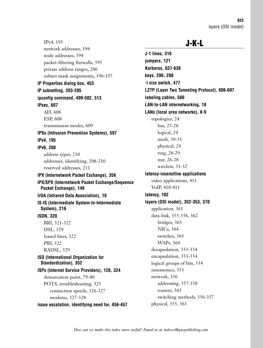layers (OSI model) **825**

IPv4, 195 network addresses, 194 node addresses, 194 packet-filtering firewalls, 595 private address ranges, 206 subnet mask assignments, 196-197 **IP Properties dialog box, 453 IP subnetting, 203-205 ipconfig command, 499-502, 513 IPsec, 607** AH, 608 ESP, 608 transmission modes, 609 **IPSs (Intrusion Prevention Systems), 597 IPv4, 195 IPv6, 208** address types, 210 addresses, identifying, 208-210 reserved addresses, 211 **IPX (Internetwork Packet Exchange), 356 IPX/SPX (Internetwork Packet Exchange/Sequence Packet Exchange), 149 IrDA (Infrared Data Association), 10 IS-IS (Intermediate System-to-Intermediate System), 216 ISDN, 320** BRI, 321-322 DSL, 329 leased lines, 322 PRI, 322 RADSL, 329 **ISO (International Organization for Standardization), 352 ISPs (Internet Service Providers), 126, 324** demarcation point, 79-80 POTS, troubleshooting, 325 connection speeds, 326-327 modems, 327-328 **issue escalation, identifying need for, 456-457**

### **J-K-L**

**J-1 lines, 316 jumpers, 121 Kerberos, 637-638 keys, 286, 288 -l size switch, 477 L2TP (Layer Two Tunneling Protocol), 606-607 labeling cables, 560 LAN-to-LAN internetworking, 18 LANs (local area networks), 8-9** topologies, 24 bus, 25-26 logical, 24 mesh, 30-31 physical, 24 ring, 28-29 star, 26-28 wireless, 31-32 **latency-insensitive applications** video applications, 411 VoIP, 410-411 **latency, 102 layers (OSI model), 352-353, 370** application, 361 data-link, 355-356, 362 bridges, 363 NICs, 364 switches, 363 WAPs, 364 decapsulation, 353-354 encapsulation, 353-354 logical groups of bits, 354 mnemonics, 353 network, 356 addressing, 357-358 routers, 363 switching methods, 356-357 physical, 355, 363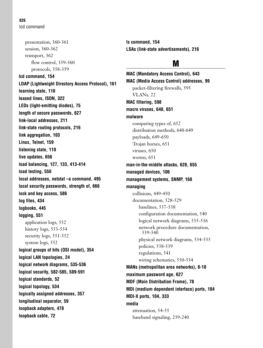presentation, 360-361 session, 360-362 transport, 362 flow control, 359-360 protocols, 358-359 **lcd command, 154 LDAP (Lightweight Directory Access Protocol), 161 learning state, 110 leased lines, ISDN, 322 LEDs (light-emitting diodes), 75 length of secure passwords, 627 link-local addresses, 211 link-state routing protocols, 216 link aggregation, 103 Linux, Telnet, 159 listening state, 110 live updates, 656 load balancing, 127, 133, 413-414 load testing, 550 local addresses, netstat –a command, 495 local security passwords, strength of, 666 lock and key access, 586 log files, 434 logbooks, 445 logging, 551** application logs, 552 history logs, 553-554 security logs, 551-552 system logs, 552 **logical groups of bits (OSI model), 354 logical LAN topologies, 24 logical network diagrams, 535-536 logical security, 582-585, 589-591 logical standards, 52 logical topology, 534 logically assigned addresses, 357 longitudinal separator, 59 loopback adapters, 478 loopback cable, 72**

**ls command, 154 LSAs (link-state advertisements), 216**

### **M**

**MAC (Mandatory Access Control), 643 MAC (Media Access Control) addresses, 99** packet-filtering firewalls, 595 VLANs, 22 **MAC filtering, 598 macro viruses, 648, 651 malware** comparing types of, 652 distribution methods, 648-649 payloads, 649-650 Trojan horses, 651 viruses, 650 worms, 651 **man-in-the-middle attacks, 628, 655 managed devices, 106 management systems, SNMP, 168 managing** collisions, 449-450 documentation, 528-529 baselines, 537-538 configuration documentation, 540 logical network diagrams, 535-536 network procedure documentation, 539-540 physical network diagrams, 534-535 policies, 538-539 regulations, 541 wiring schematics, 530-534 **MANs (metropolitan area networks), 8-10 maximum password age, 627 MDF (Main Distribution Frame), 78 MDI (medium dependent interface) ports, 104 MDI-X ports, 104, 333 media** attenuation, 54-55 baseband signaling, 239-240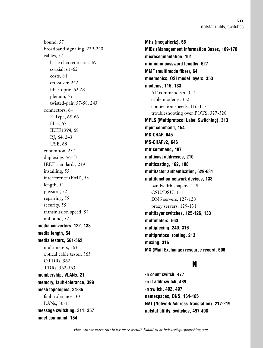bound, 57 broadband signaling, 239-240 cables, 57 basic characteristics, 69 coaxial, 61-62 costs, 84 crossover, 242 fiber-optic, 62-63 plenum, 55 twisted-pair, 57-58, 243 connectors, 64 F-Type, 65-66 fiber, 67 IEEE1394, 68 RJ, 64, 243 USB, 68 contention, 237 duplexing, 56-57 IEEE standards, 239 installing, 55 interference (EMI), 53 length, 54 physical, 52 repairing, 55 security, 55 transmission speed, 54 unbound, 57 **media converters, 122, 133 media length, 54 media testers, 561-562** multimeters, 563 optical cable tester, 563 OTDRs, 562 TDRs, 562-563 **membership, VLANs, 21 memory, fault-tolerance, 399 mesh topologies, 34-36** fault tolerance, 30 LANs, 30-31 **message switching, 311, 357 mget command, 154**

**MHz (megaHertz), 58 MIBs (Management Information Bases, 169-170 microsegmentation, 101 minimum password lengths, 627 MMF (multimode fiber), 64 mnemonics, OSI model layers, 353 modems, 115, 133** AT command set, 327 cable modems, 332 connection speeds, 116-117 troubleshooting over POTS, 327-328 **MPLS (Multiprotocol Label Switching), 313 mput command, 154 MS-CHAP, 645 MS-CHAPv2, 646 mtr command, 487 multicast addresses, 210 multicasting, 162, 198 multifactor authentication, 629-631 multifunction network devices, 133** bandwidth shapers, 129 CSU/DSU, 131 DNS servers, 127-128 proxy servers, 129-131 **multilayer switches, 125-126, 133 multimeters, 563 multiplexing, 240, 316 multiprotocol routing, 213 muxing, 316 MX (Mail Exchange) resource record, 506**

### **N**

**-n count switch, 477 -n if addr switch, 489 -n switch, 492, 497 namespaces, DNS, 164-165 NAT (Network Address Translation), 217-219 nbtstat utility, switches, 497-498**

*How can we make this index more useful? Email us at indexes@quepublishing.com*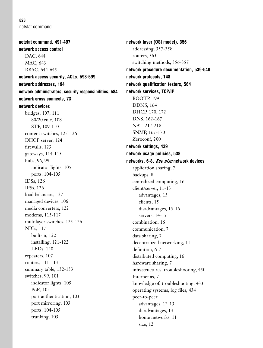**netstat command, 491-497 network access control** DAC, 644 MAC, 643 RBAC, 644-645 **network access security, ACLs, 598-599 network addresses, 194 network administrators, security responsibilities, 584 network cross connects, 73 network devices** bridges, 107, 111 80/20 rule, 108 STP, 109-110 content switches, 125-126 DHCP server, 124 firewalls, 123 gateways, 114-115 hubs, 96, 99 indicator lights, 105 ports, 104-105 IDSs, 126 IPSs, 126 load balancers, 127 managed devices, 106 media converters, 122 modems, 115-117 multilayer switches, 125-126 NICs, 117 built-in, 122 installing, 121-122 LEDs, 120 repeaters, 107 routers, 111-113 summary table, 132-133 switches, 99, 101 indicator lights, 105 PoE, 102 port authentication, 103 port mirroring, 103 ports, 104-105 trunking, 103

**network layer (OSI model), 356** addressing, 357-358 routers, 363 switching methods, 356-357 **network procedure documentation, 539-540 network protocols, 148 network qualification testers, 564 network services, TCP/IP** BOOTP, 199 DDNS, 164 DHCP, 170, 172 DNS, 162-167 NAT, 217-218 SNMP, 167-170 Zeroconf, 200 **network settings, 439 network usage policies, 538 networks, 6-8. See also network devices** application sharing, 7 backups, 8 centralized computing, 16 client/server, 11-13 advantages, 15 clients, 15 disadvantages, 15-16 servers, 14-15 combination, 16 communication, 7 data sharing, 7 decentralized networking, 11 definition, 6-7 distributed computing, 16 hardware sharing, 7 infrastructures, troubleshooting, 450 Internet as, 7 knowledge of, troubleshooting, 433 operating systems, log files, 434 peer-to-peer advantages, 12-13 disadvantages, 13 home networks, 11 size, 12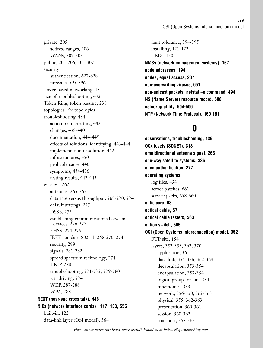private, 205 address ranges, 206 WANs, 307-308 public, 205-206, 305-307 security authentication, 627-628 firewalls, 595-596 server-based networking, 13 size of, troubleshooting, 432 Token Ring, token passing, 238 topologies. *See* topologies troubleshooting, 434 action plan, creating, 442 changes, 438-440 documentation, 444-445 effects of solutions, identifying, 443-444 implementation of solution, 442 infrastructures, 450 probable cause, 440 symptoms, 434-436 testing results, 442-443 wireless, 262 antennas, 265-267 data rate versus throughput, 268-270, 274 default settings, 277 DSSS, 275 establishing communications between devices, 276-277 FHSS, 274-275 IEEE standard 802.11, 268-270, 274 security, 289 signals, 281-282 spread spectrum technology, 274 TKIP, 288 troubleshooting, 271-272, 279-280 war driving, 274 WEP, 287-288 WPA, 288 **NEXT (near-end cross talk), 448 NICs (network interface cards) , 117, 133, 555** built-in, 122 data-link layer (OSI model), 364

fault tolerance, 394-395 installing, 121-122 LEDs, 120 **NMSs (network management systems), 167 node addresses, 194 nodes, equal access, 237 non-overwriting viruses, 651 non-unicast packets, netstat –e command, 494 NS (Name Server) resource record, 506 nslookup utility, 504-506 NTP (Network Time Protocol), 160-161**

## **O**

**observations, troubleshooting, 436 OCx levels (SONET), 318 omnidirectional antenna signal, 266 one-way satellite systems, 336 open authentication, 277 operating systems** log files, 434 server patches, 661 service packs, 658-660 **optic core, 63 optical cable, 57 optical cable testers, 563 option switch, 505 OSI (Open Systems Interconnection) model, 352** FTP site, 154 layers, 352-353, 362, 370 application, 361 data-link, 355-356, 362-364 decapsulation, 353-354 encapsulation, 353-354 logical groups of bits, 354 mnemonics, 353 network, 356-358, 362-363 physical, 355, 362-363 presentation, 360-361 session, 360-362 transport, 358-362

*How can we make this index more useful? Email us at indexes@quepublishing.com*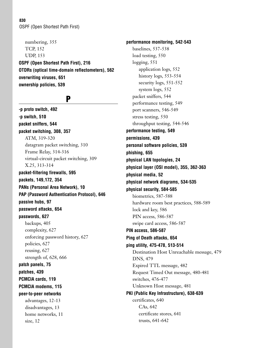numbering, 355 TCP, 152 UDP, 153 **OSPF (Open Shortest Path First), 216 OTDRs (optical time-domain reflectometers), 562 overwriting viruses, 651 ownership policies, 539**

### **P**

**-p proto switch, 492 -p switch, 510 packet sniffers, 544 packet switching, 308, 357** ATM, 319-320 datagram packet switching, 310 Frame Relay, 314-316 virtual-circuit packet switching, 309 X.25, 313-314 **packet-filtering firewalls, 595 packets, 149,172, 354 PANs (Personal Area Network), 10 PAP (Password Authentication Protocol), 646 passive hubs, 97 password attacks, 654 passwords, 627** backups, 405 complexity, 627 enforcing password history, 627 policies, 627 reusing, 627 strength of, 628, 666 **patch panels, 75 patches, 439 PCMCIA cards, 119 PCMCIA modems, 115 peer-to-peer networks** advantages, 12-13 disadvantages, 13 home networks, 11 size, 12

**performance monitoring, 542-543** baselines, 537-538 load testing, 550 logging, 551 application logs, 552 history logs, 553-554 security logs, 551-552 system logs, 552 packet sniffers, 544 performance testing, 549 port scanners, 546-549 stress testing, 550 throughput testing, 544-546 **performance testing, 549 permissions, 439 personal software policies, 539 phishing, 655 physical LAN topologies, 24 physical layer (OSI model), 355, 362-363 physical media, 52 physical network diagrams, 534-535 physical security, 584-585** biometrics, 587-588 hardware room best practices, 588-589 lock and key, 586 PIN access, 586-587 swipe card access, 586-587 **PIN access, 586-587 Ping of Death attacks, 654 ping utility, 475-478, 513-514** Destination Host Unreachable message, 479 DNS, 479 Expired TTL message, 482 Request Timed Out message, 480-481 switches, 476-477 Unknown Host message, 481 **PKI (Public Key Infrastructure), 638-639** certificates, 640 CAs, 642 certificate stores, 641 trusts, 641-642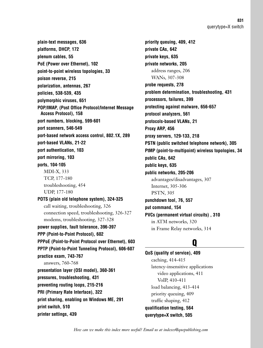**plain-text messages, 636 platforms, DHCP, 172 plenum cables, 55 PoE (Power over Ethernet), 102 point-to-point wireless topologies, 33 poison reverse, 215 polarization, antennas, 267 policies, 538-539, 435 polymorphic viruses, 651 POP/IMAP, (Post Office Protocol/Internet Message Access Protocol), 158 port numbers, blocking, 599-601 port scanners, 546-549 port-based network access control, 802.1X, 289 port-based VLANs, 21-22 port authentication, 103 port mirroring, 103 ports, 104-105** MDI-X, 333 TCP, 177-180 troubleshooting, 454 UDP, 177-180 **POTS (plain old telephone system), 324-325** call waiting, troubleshooting, 326 connection speed, troubleshooting, 326-327 modems, troubleshooting, 327-328 **power supplies, fault tolerance, 396-397 PPP (Point-to-Point Protocol), 602 PPPoE (Point-to-Point Protocol over Ethernet), 603 PPTP (Point-to-Point Tunneling Protocol), 606-607 practice exam, 743-767** answers, 760-768 **presentation layer (OSI model), 360-361 pressures, troubleshooting, 431 preventing routing loops, 215-216 PRI (Primary Rate Interface), 322 print sharing, enabling on Windows ME, 291 print switch, 510 printer settings, 439**

**priority queuing, 409, 412 private CAs, 642 private keys, 635 private networks, 205** address ranges, 206 WANs, 307-308 **probe requests, 278 problem determination, troubleshooting, 431 processors, failures, 399 protecting against malware, 656-657 protocol analyzers, 561 protocols-based VLANs, 21 Proxy ARP, 456 proxy servers, 129-133, 218 PSTN (public switched telephone network), 305 PtMP (point-to-multipoint) wireless topologies, 34 public CAs, 642 public keys, 635 public networks, 205-206** advantages/disadvantages, 307 Internet, 305-306 PSTN, 305 **punchdown tool, 76, 557 put command, 154 PVCs (permanent virtual circuits) , 310** in ATM networks, 320 in Frame Relay networks, 314

## **Q**

**QoS (quality of service), 409** caching, 414-415 latency-insensitive applications video applications, 411 VoIP, 410-411 load balancing, 413-414 priority queuing, 409 traffic shaping, 412 **qualification testing, 564 querytype=X switch, 505**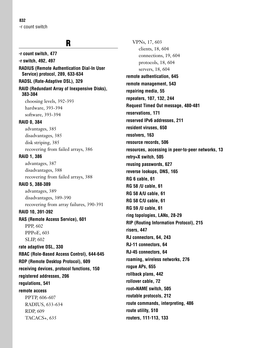### **R**

**-r count switch, 477 -r switch, 492, 497 RADIUS (Remote Authentication Dial-In User Service) protocol, 289, 633-634 RADSL (Rate-Adaptive DSL), 329 RAID (Redundant Array of Inexpensive Disks), 383-384** choosing levels, 392-393 hardware, 393-394 software, 393-394 **RAID 0, 384** advantages, 385 disadvantages, 385 disk striping, 385 recovering from failed arrays, 386 **RAID 1, 386** advantages, 387 disadvantages, 388 recovering from failed arrays, 388 **RAID 5, 388-389** advantages, 389 disadvantages, 389-390 recovering from array failures, 390-391 **RAID 10, 391-392 RAS (Remote Access Service), 601** PPP, 602 PPPoE, 603 SLIP, 602 **rate adaptive DSL, 330 RBAC (Role-Based Access Control), 644-645 RDP (Remote Desktop Protocol), 609 receiving devices, protocol functions, 150 registered addresses, 206 regulations, 541 remote access** PPTP, 606-607 RADIUS, 633-634 RDP, 609 TACACS+, 635

VPNs, 17, 603 clients, 18, 604 connections, 19, 604 protocols, 18, 604 servers, 18, 604 **remote authentication, 645 remote management, 543 repairing media, 55 repeaters, 107, 132, 244 Request Timed Out message, 480-481 reservations, 171 reserved IPv6 addresses, 211 resident viruses, 650 resolvers, 163 resource records, 506 resources, accessing in peer-to-peer networks, 13 retry=X switch, 505 reusing passwords, 627 reverse lookups, DNS, 165 RG 6 cable, 61 RG 58 /U cable, 61 RG 58 A/U cable, 61 RG 58 C/U cable, 61 RG 59 /U cable, 61 ring topologies, LANs, 28-29 RIP (Routing Information Protocol), 215 risers, 447 RJ connectors, 64, 243 RJ-11 connectors, 64 RJ-45 connectors, 64 roaming, wireless networks, 276 rogue APs, 655 rollback plans, 442 rollover cable, 72 root=NAME switch, 505 routable protocols, 212 route commands, interpreting, 486 route utility, 510 routers, 111-113, 133**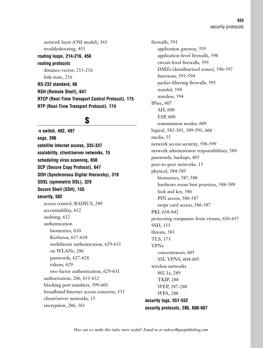network layer (OSI model), 363 troubleshooting, 451

**routing loops, 214-216, 456**

**routing protocols**

distance-vector, 213-216 link-state, 216

**RS-232 standard, 66 RSH (Remote Shell), 647 RTCP (Real-Time Transport Control Protocol), 175 RTP (Real-Time Transport Protocol), 174**

## **S**

**-s switch, 492, 497 sags, 396 satellite Internet access, 335-337 scalability, client/server networks, 15 scheduling virus scanning, 656 SCP (Secure Copy Protocol), 647 SDH (Synchronous Digital Hierarchy), 319 SDSL (symmetric DSL), 329 Secure Shell (SSH), 155 security, 582** access control, RADIUS, 289 accountability, 632 auditing, 632 authentication biometrics, 630 Kerberos, 637-638 multifactor authentication, 629-631 on WLANs, 286 passwords, 627-628 tokens, 629 two-factor authentication, 629-631 authorization, 286, 631-632 blocking port numbers, 599-601 broadband Internet access concerns, 335 client/server networks, 15 encryption, 286, 361

firewalls, 591 application gateway, 595 application-level firewalls, 596 circuit-level firewalls, 595 DMZs (demilitarized zones), 596-597 functions, 593-594 packet-filtering firewalls, 595 stateful, 594 stateless, 594 IPsec, 607 AH, 608 ESP, 608 transmission modes, 609 logical, 582-585, 589-591, 666 media, 55 network access security, 598-599 network administrator responsibilities, 584 passwords, backups, 405 peer-to-peer networks, 13 physical, 584-585 biometrics, 587-588 hardware room best practices, 588-589 lock and key, 586 PIN access, 586-587 swipe card access, 586-587 PKI, 638-642 protecting computers from viruses, 656-657 SSH, 155 threats, 583 TLS, 173 VPNs concentrators, 605 SSL VPNS, 604-605 wireless networks 802.1x, 289 TKIP, 288 WEP, 287-288 WPA, 288 **security logs, 551-552 security protocols, 286, 606-607**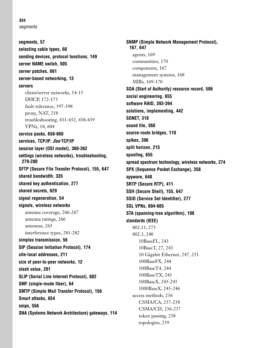**834** segments

**segments, 57 selecting cable types, 60 sending devices, protocol functions, 149 server NAME switch, 505 server patches, 661 server-based networking, 13 servers** client/server networks, 14-15 DHCP, 172-173 fault tolerance, 397-398 proxy, NAT, 218 troubleshooting, 431-432, 438-439 VPNs, 18, 604 **service packs, 658-660 services, TCP/IP. See TCP/IP session layer (OSI model), 360-362 settings (wireless networks), troubleshooting, 279-280 SFTP (Secure File Transfer Protocol), 155, 647 shared bandwidth, 335 shared key authentication, 277 shared secrets, 629 signal regeneration, 54 signals, wireless networks** antenna coverage, 266-267 antenna ratings, 266 antennas, 265 interference types, 281-282 **simplex transmission, 56 SIP (Session Initiation Protocol), 174 site-local addresses, 211 size of peer-to-peer networks, 12 slash value, 201 SLIP (Serial Line Internet Protocol), 602 SMF (single-mode fiber), 64 SMTP (Simple Mail Transfer Protocol), 156 Smurf attacks, 654 snips, 556 SNA (Systems Network Architecture) gateways, 114**

**SNMP (Simple Network Management Protocol), 167, 647** agents, 169 communities, 170 components, 167 management systems, 168 MIBs, 169-170 **SOA (Start of Authority) resource record, 506 social engineering, 655 software RAID, 393-394 solutions, implementing, 442 SONET, 318 sound file, 360 source-route bridges, 110 spikes, 396 split horizon, 215 spoofing, 655 spread spectrum technology, wireless networks, 274 SPX (Sequence Packet Exchange), 358 spyware, 648 SRTP (Secure RTP), 411 SSH (Secure Shell), 155, 647 SSID (Service Set Identifier), 277 SSL VPNs, 604-605 STA (spanning-tree algorithm), 108 standards (IEEE)** 802.11, 275 802.3, 240 10BaseFL, 243 10BaseT, 27, 243 10 Gigabit Ethernet, 247, 251 100BaseFX, 244 100BaseT4, 244 100BaseTX, 243 100BaseX, 243-245 1000BaseX, 245-246 access methods, 236 CSMA/CA, 237-238 CSMA/CD, 236-237 token passing, 238 topologies, 239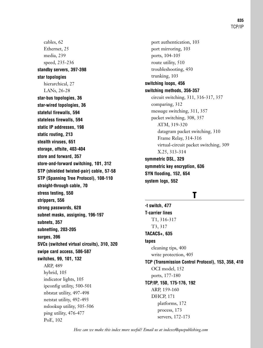cables, 62 Ethernet, 25 media, 239 speed, 235-236 **standby servers, 397-398 star topologies** hierarchical, 27 LANs, 26-28 **star-bus topologies, 36 star-wired topologies, 36 stateful firewalls, 594 stateless firewalls, 594 static IP addresses, 198 static routing, 213 stealth viruses, 651 storage, offsite, 403-404 store and forward, 357 store-and-forward switching, 101, 312 STP (shielded twisted-pair) cable, 57-58 STP (Spanning Tree Protocol), 108-110 straight-through cable, 70 stress testing, 550 strippers, 556 strong passwords, 628 subnet masks, assigning, 196-197 subnets, 357 subnetting, 203-205 surges, 396 SVCs (switched virtual circuits), 310, 320 swipe card access, 586-587 switches, 99, 101, 132** ARP, 489 hybrid, 105 indicator lights, 105 ipconfig utility, 500-501 nbtstat utility, 497-498 netstat utility, 492-493 nslookup utility, 505-506 ping utility, 476-477 PoE, 102

port authentication, 103 port mirroring, 103 ports, 104-105 route utility, 510 troubleshooting, 450 trunking, 103 **switching loops, 456 switching methods, 356-357** circuit switching, 311, 316-317, 357 comparing, 312 message switching, 311, 357 packet switching, 308, 357 ATM, 319-320 datagram packet switching, 310 Frame Relay, 314-316 virtual-circuit packet switching, 309 X.25, 313-314 **symmetric DSL, 329 symmetric key encryption, 636 SYN flooding, 152, 654 system logs, 552**

### **T**

**-t switch, 477 T-carrier lines** T1, 316-317 T3, 317 **TACACS+, 635 tapes** cleaning tips, 400 write protection, 405 **TCP (Transmission Control Protocol), 153, 358, 410** OCI model, 152 ports, 177-180 **TCP/IP, 150, 175-176, 192** ARP, 159-160 DHCP, 171 platforms, 172 process, 173 servers, 172-173

*How can we make this index more useful? Email us at indexes@quepublishing.com*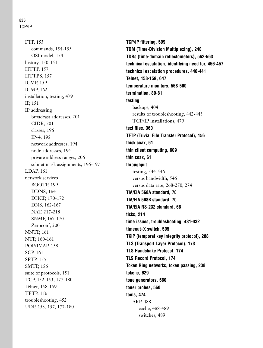#### **836** TCP/IP

FTP, 153 commands, 154-155 OSI model, 154 history, 150-151 HTTP, 157 HTTPS, 157 ICMP, 159 IGMP, 162 installation, testing, 479 IP, 151 IP addressing broadcast addresses, 201 CIDR, 201 classes, 196 IPv4, 195 network addresses, 194 node addresses, 194 private address ranges, 206 subnet mask assignments, 196-197 LDAP, 161 network services BOOTP, 199 DDNS, 164 DHCP, 170-172 DNS, 162-167 NAT, 217-218 SNMP, 167-170 Zeroconf, 200 NNTP, 161 NTP, 160-161 POP/IMAP, 158 SCP, 161 SFTP, 155 SMTP, 156 suite of protocols, 151 TCP, 152-153, 177-180 Telnet, 158-159 TFTP, 156 troubleshooting, 452 UDP, 153, 157, 177-180

**TCP/IP filtering, 599 TDM (Time-Division Multiplexing), 240 TDRs (time-domain reflectometers), 562-563 technical escalation, identifying need for, 456-457 technical escalation procedures, 440-441 Telnet, 158-159, 647 temperature monitors, 558-560 termination, 80-81 testing** backups, 404 results of troubleshooting, 442-443 TCP/IP installations, 479 **text files, 360 TFTP (Trivial File Transfer Protocol), 156 thick coax, 61 thin client computing, 609 thin coax, 61 throughput** testing, 544-546 versus bandwidth, 546 versus data rate, 268-270, 274 **TIA/EIA 568A standard, 70 TIA/EIA 568B standard, 70 TIA/EIA RS-232 standard, 66 ticks, 214 time issues, troubleshooting, 431-432 timeout=X switch, 505 TKIP (temporal key integrity protocol), 288 TLS (Transport Layer Protocol), 173 TLS Handshake Protocol, 174 TLS Record Protocol, 174 Token Ring networks, token passing, 238 tokens, 629 tone generators, 560 toner probes, 560 tools, 474** ARP, 488 cache, 488-489 switches, 489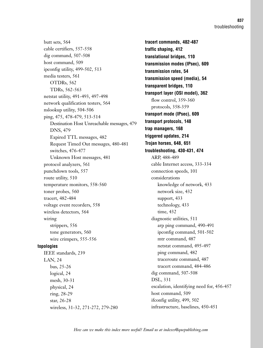butt sets, 564 cable certifiers, 557-558 dig command, 507-508 host command, 509 ipconfig utility, 499-502, 513 media testers, 561 OTDRs, 562 TDRs, 562-563 netstat utility, 491-493, 497-498 network qualification testers, 564 nslookup utility, 504-506 ping, 475, 478-479, 513-514 Destination Host Unreachable messages, 479 DNS, 479 Expired TTL messages, 482 Request Timed Out messages, 480-481 switches, 476-477 Unknown Host messages, 481 protocol analyzers, 561 punchdown tools, 557 route utility, 510 temperature monitors, 558-560 toner probes, 560 tracert, 482-484 voltage event recorders, 558 wireless detectors, 564 wiring strippers, 556 tone generators, 560 wire crimpers, 555-556 **topologies** IEEE standards, 239 LAN, 24 bus, 25-26 logical, 24 mesh, 30-31 physical, 24 ring, 28-29 star, 26-28 wireless, 31-32, 271-272, 279-280

**tracert commands, 482-487 traffic shaping, 412 translational bridges, 110 transmission modes (IPsec), 609 transmission rates, 54 transmission speed (media), 54 transparent bridges, 110 transport layer (OSI model), 362** flow control, 359-360 protocols, 358-359 **transport mode (IPsec), 609 transport protocols, 148 trap managers, 168 triggered updates, 214 Trojan horses, 648, 651 troubleshooting, 430-431, 474** ARP, 488-489 cable Internet access, 333-334 connection speeds, 101 considerations knowledge of network, 433 network size, 432 support, 433 technology, 433 time, 432 diagnostic utilities, 511 arp ping command, 490-491 ipconfig command, 501-502 mtr command, 487 netstat command, 495-497 ping command, 482 traceroute command, 487 tracert command, 484-486 dig command, 507-508 DSL, 331 escalation, identifying need for, 456-457 host command, 509 ifconfig utility, 499, 502 infrastructure, baselines, 450-451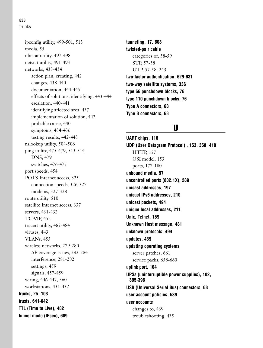#### **838** trunks

ipconfig utility, 499-501, 513 media, 55 nbtstat utility, 497-498 netstat utility, 491-493 networks, 433-434 action plan, creating, 442 changes, 438-440 documentation, 444-445 effects of solutions, identifying, 443-444 escalation, 440-441 identifying affected area, 437 implementation of solution, 442 probable cause, 440 symptoms, 434-436 testing results, 442-443 nslookup utility, 504-506 ping utility, 475-479, 513-514 DNS, 479 switches, 476-477 port speeds, 454 POTS Internet access, 325 connection speeds, 326-327 modems, 327-328 route utility, 510 satellite Internet access, 337 servers, 431-432 TCP/IP, 452 tracert utility, 482-484 viruses, 443 VLANs, 455 wireless networks, 279-280 AP coverage issues, 282-284 interference, 281-282 settings, 459 signals, 457-459 wiring, 446-447, 560 workstations, 431-432 **trunks, 25, 103 trusts, 641-642 TTL (Time to Live), 482 tunnel mode (IPsec), 609**

**tunneling, 17, 603 twisted-pair cable** categories of, 58-59 STP, 57-58 UTP, 57-58, 243 **two-factor authentication, 629-631 two-way satellite systems, 336 type 66 punchdown blocks, 76 type 110 punchdown blocks, 76 Type A connectors, 68 Type B connectors, 68**

### **U**

**UART chips, 116 UDP (User Datagram Protocol) , 153, 358, 410** HTTP, 157 OSI model, 153 ports, 177-180 **unbound media, 57 uncontrolled ports (802.1X), 289 unicast addresses, 197 unicast IPv6 addresses, 210 unicast packets, 494 unique local addresses, 211 Unix, Telnet, 159 Unknown Host message, 481 unknown protocols, 494 updates, 439 updating operating systems** server patches, 661 service packs, 658-660 **uplink port, 104 UPSs (uninterruptible power supplies), 102, 395-396 USB (Universal Serial Bus) connectors, 68 user account policies, 539 user accounts** changes to, 439 troubleshooting, 435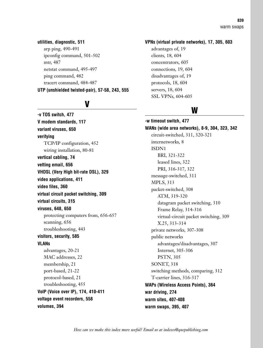#### **utilities, diagnostic, 511**

arp ping, 490-491 ipconfig command, 501-502 mtr, 487 netstat command, 495-497 ping command, 482 tracert command, 484-487 **UTP (unshielded twisted-pair), 57-58, 243, 555**

### **V**

**-v TOS switch, 477 V modem standards, 117 variant viruses, 650 verifying** TCP/IP configuration, 452 wiring installation, 80-81 **vertical cabling, 74 vetting email, 656 VHDSL (Very High bit-rate DSL), 329 video applications, 411 video files, 360 virtual circuit packet switching, 309 virtual circuits, 315 viruses, 648, 650** protecting computers from, 656-657 scanning, 656 troubleshooting, 443 **visitors, security, 585 VLANs** advantages, 20-21 MAC addresses, 22 membership, 21 port-based, 21-22 protocol-based, 21 troubleshooting, 455 **VoIP (Voice over IP), 174, 410-411 voltage event recorders, 558 volumes, 394**

#### **VPNs (virtual private networks), 17, 305, 603**

advantages of, 19 clients, 18, 604 concentrators, 605 connections, 19, 604 disadvantages of, 19 protocols, 18, 604 servers, 18, 604 SSL VPNs, 604-605

### **W**

**-w timeout switch, 477 WANs (wide area networks), 8-9, 304, 323, 342** circuit-switched, 311, 320-321 internetworks, 8 ISDN1 BRI, 321-322 leased lines, 322 PRI, 316-317, 322 message-switched, 311 MPLS, 313 packet-switched, 308 ATM, 319-320 datagram packet switching, 310 Frame Relay, 314-316 virtual-circuit packet switching, 309 X.25, 313-314 private networks, 307-308 public networks advantages/disadvantages, 307 Internet, 305-306 PSTN, 305 SONET, 318 switching methods, comparing, 312 T-carrier lines, 316-317 **WAPs (Wireless Access Points), 364 war driving, 274 warm sites, 407-408 warm swaps, 395, 407**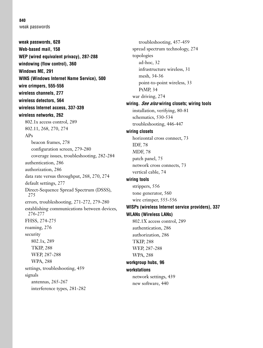**840** weak passwords

**weak passwords, 628 Web-based mail, 158 WEP (wired equivalent privacy), 287-288 windowing (flow control), 360 Windows ME, 291 WINS (Windows Internet Name Service), 500 wire crimpers, 555-556 wireless channels, 277 wireless detectors, 564 wireless Internet access, 337-339 wireless networks, 262** 802.1x access control, 289 802.11, 268, 270, 274 APs beacon frames, 278 configuration screen, 279-280 coverage issues, troubleshooting, 282-284 authentication, 286 authorization, 286 data rate versus throughput, 268, 270, 274 default settings, 277 Direct-Sequence Spread Spectrum (DSSS), 275 errors, troubleshooting, 271-272, 279-280 establishing communications between devices, 276-277 FHSS, 274-275 roaming, 276 security 802.1x, 289 TKIP, 288 WEP, 287-288 WPA, 288 settings, troubleshooting, 459 signals antennas, 265-267 interference types, 281-282

troubleshooting, 457-459 spread spectrum technology, 274 topologies ad-hoc, 32 infrastructure wireless, 31 mesh, 34-36 point-to-point wireless, 33 PtMP, 34 war driving, 274 **wiring. See also wiring closets; wiring tools** installation, verifying, 80-81 schematics, 530-534 troubleshooting, 446-447 **wiring closets** horizontal cross connect, 73 IDF, 78 MDF, 78 patch panel, 75 network cross connects, 73 vertical cable, 74 **wiring tools** strippers, 556 tone generator, 560 wire crimper, 555-556 **WISPs (wireless Internet service providers), 337 WLANs (Wireless LANs)** 802.1X access control, 289 authentication, 286 authorization, 286 TKIP, 288 WEP, 287-288 WPA, 288 **workgroup hubs, 96 workstations** network settings, 439 new software, 440